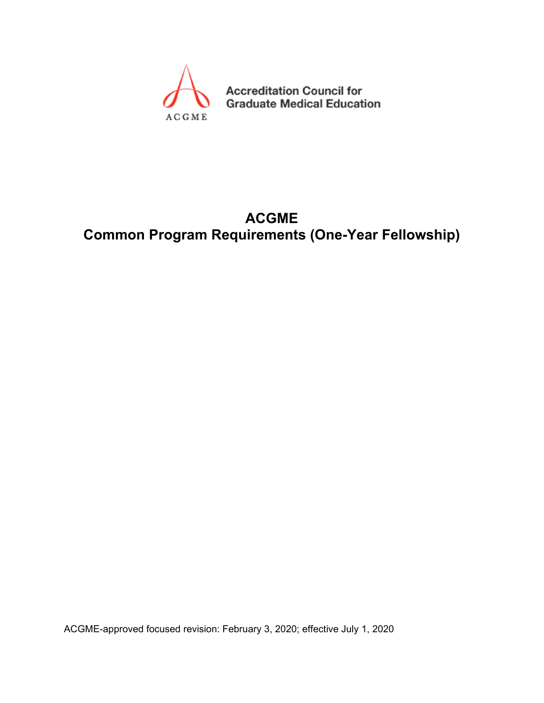

**Accreditation Council for Graduate Medical Education** 

# **ACGME Common Program Requirements (One-Year Fellowship)**

ACGME-approved focused revision: February 3, 2020; effective July 1, 2020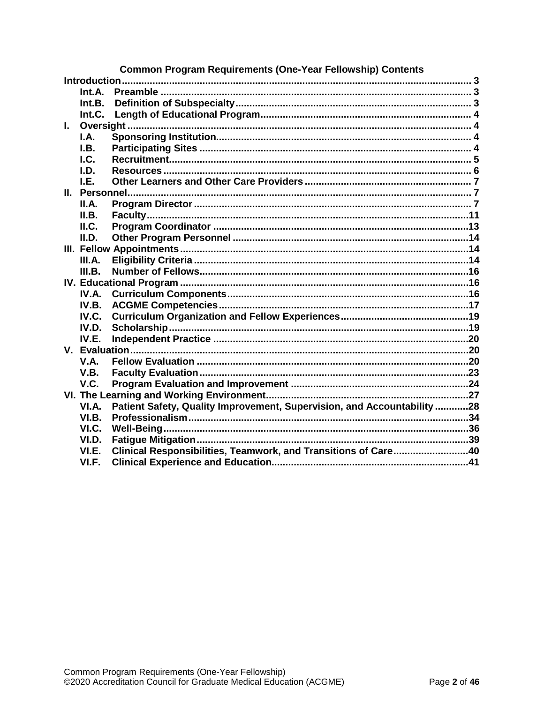|              |              | <b>Common Program Requirements (One-Year Fellowship) Contents</b>       |  |
|--------------|--------------|-------------------------------------------------------------------------|--|
|              | Introduction |                                                                         |  |
|              | Int.A.       |                                                                         |  |
|              | Int.B.       |                                                                         |  |
|              | Int.C.       |                                                                         |  |
| $\mathbf{L}$ |              |                                                                         |  |
|              | I.A.         |                                                                         |  |
|              | I.B.         |                                                                         |  |
|              | I.C.         |                                                                         |  |
|              | I.D.         |                                                                         |  |
|              | I.E.         |                                                                         |  |
|              |              |                                                                         |  |
|              | II.A.        |                                                                         |  |
|              | II.B.        |                                                                         |  |
|              | ILC.         |                                                                         |  |
|              | II.D.        |                                                                         |  |
|              |              |                                                                         |  |
|              | III.A.       |                                                                         |  |
|              | III.B.       |                                                                         |  |
|              |              |                                                                         |  |
|              | IV.A.        |                                                                         |  |
|              | IV.B.        |                                                                         |  |
|              | IV.C.        |                                                                         |  |
|              | IV.D.        |                                                                         |  |
|              | IV.E.        |                                                                         |  |
|              |              |                                                                         |  |
|              | <b>V.A.</b>  |                                                                         |  |
|              | V.B.         |                                                                         |  |
|              | V.C.         |                                                                         |  |
|              |              |                                                                         |  |
|              | VI.A.        | Patient Safety, Quality Improvement, Supervision, and Accountability 28 |  |
|              | VI.B.        |                                                                         |  |
|              | VI.C.        |                                                                         |  |
|              | VI.D.        |                                                                         |  |
|              | VI.E.        | Clinical Responsibilities, Teamwork, and Transitions of Care40          |  |
|              | VI.F.        |                                                                         |  |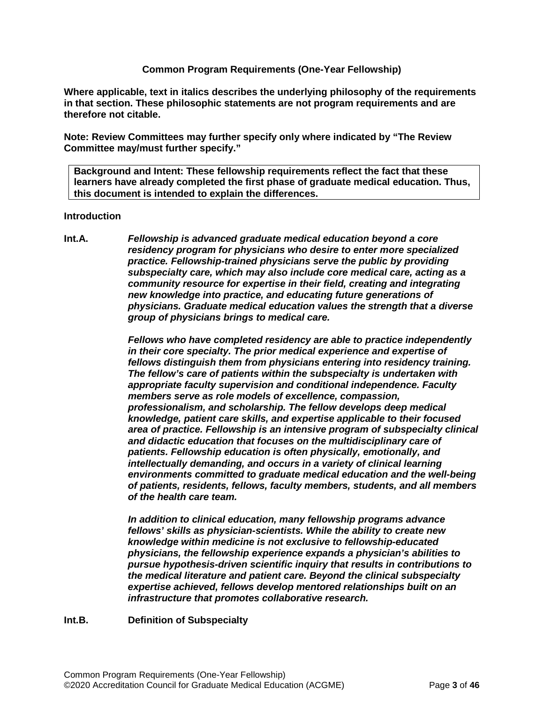#### **Common Program Requirements (One-Year Fellowship)**

**Where applicable, text in italics describes the underlying philosophy of the requirements in that section. These philosophic statements are not program requirements and are therefore not citable.**

**Note: Review Committees may further specify only where indicated by "The Review Committee may/must further specify."**

**Background and Intent: These fellowship requirements reflect the fact that these learners have already completed the first phase of graduate medical education. Thus, this document is intended to explain the differences.**

#### <span id="page-2-0"></span>**Introduction**

<span id="page-2-1"></span>**Int.A.** *Fellowship is advanced graduate medical education beyond a core residency program for physicians who desire to enter more specialized practice. Fellowship-trained physicians serve the public by providing subspecialty care, which may also include core medical care, acting as a community resource for expertise in their field, creating and integrating new knowledge into practice, and educating future generations of physicians. Graduate medical education values the strength that a diverse group of physicians brings to medical care.*

> *Fellows who have completed residency are able to practice independently in their core specialty. The prior medical experience and expertise of fellows distinguish them from physicians entering into residency training. The fellow's care of patients within the subspecialty is undertaken with appropriate faculty supervision and conditional independence. Faculty members serve as role models of excellence, compassion, professionalism, and scholarship. The fellow develops deep medical knowledge, patient care skills, and expertise applicable to their focused area of practice. Fellowship is an intensive program of subspecialty clinical and didactic education that focuses on the multidisciplinary care of patients. Fellowship education is often physically, emotionally, and intellectually demanding, and occurs in a variety of clinical learning environments committed to graduate medical education and the well-being of patients, residents, fellows, faculty members, students, and all members of the health care team.*

*In addition to clinical education, many fellowship programs advance fellows' skills as physician-scientists. While the ability to create new knowledge within medicine is not exclusive to fellowship-educated physicians, the fellowship experience expands a physician's abilities to pursue hypothesis-driven scientific inquiry that results in contributions to the medical literature and patient care. Beyond the clinical subspecialty expertise achieved, fellows develop mentored relationships built on an infrastructure that promotes collaborative research.*

<span id="page-2-2"></span>**Int.B. Definition of Subspecialty**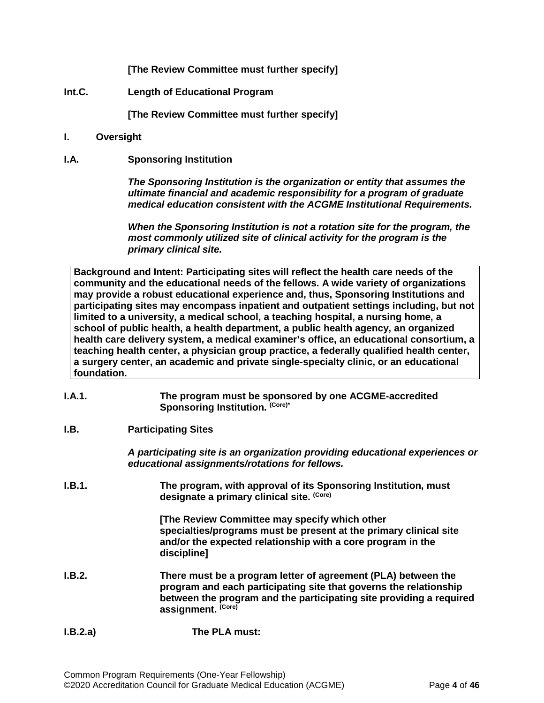**[The Review Committee must further specify]**

<span id="page-3-0"></span>**Int.C. Length of Educational Program**

**[The Review Committee must further specify]**

- <span id="page-3-1"></span>**I. Oversight**
- <span id="page-3-2"></span>**I.A. Sponsoring Institution**

*The Sponsoring Institution is the organization or entity that assumes the ultimate financial and academic responsibility for a program of graduate medical education consistent with the ACGME Institutional Requirements.*

*When the Sponsoring Institution is not a rotation site for the program, the most commonly utilized site of clinical activity for the program is the primary clinical site.*

**Background and Intent: Participating sites will reflect the health care needs of the community and the educational needs of the fellows. A wide variety of organizations may provide a robust educational experience and, thus, Sponsoring Institutions and participating sites may encompass inpatient and outpatient settings including, but not limited to a university, a medical school, a teaching hospital, a nursing home, a school of public health, a health department, a public health agency, an organized health care delivery system, a medical examiner's office, an educational consortium, a teaching health center, a physician group practice, a federally qualified health center, a surgery center, an academic and private single-specialty clinic, or an educational foundation.**

- **I.A.1. The program must be sponsored by one ACGME-accredited**  Sponsoring Institution.<sup>(Core)\*</sup>
- <span id="page-3-3"></span>**I.B. Participating Sites**

*A participating site is an organization providing educational experiences or educational assignments/rotations for fellows.*

**I.B.1. The program, with approval of its Sponsoring Institution, must designate a primary clinical site. (Core)**

> **[The Review Committee may specify which other specialties/programs must be present at the primary clinical site and/or the expected relationship with a core program in the discipline]**

- **I.B.2. There must be a program letter of agreement (PLA) between the program and each participating site that governs the relationship between the program and the participating site providing a required assignment. (Core)**
- **I.B.2.a) The PLA must:**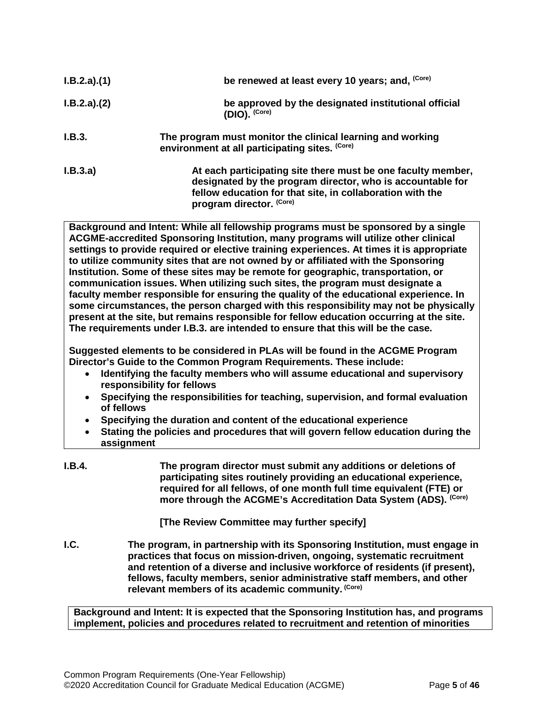| I.B.2.a)(1) | be renewed at least every 10 years; and, (Core)                                                                                                                                                                     |
|-------------|---------------------------------------------------------------------------------------------------------------------------------------------------------------------------------------------------------------------|
| I.B.2.a)(2) | be approved by the designated institutional official<br>$(DIO)$ . $(Core)$                                                                                                                                          |
| I.B.3.      | The program must monitor the clinical learning and working<br>environment at all participating sites. (Core)                                                                                                        |
| I.B.3.a)    | At each participating site there must be one faculty member,<br>designated by the program director, who is accountable for<br>fellow education for that site, in collaboration with the<br>program director. (Core) |

**Background and Intent: While all fellowship programs must be sponsored by a single ACGME-accredited Sponsoring Institution, many programs will utilize other clinical settings to provide required or elective training experiences. At times it is appropriate to utilize community sites that are not owned by or affiliated with the Sponsoring Institution. Some of these sites may be remote for geographic, transportation, or communication issues. When utilizing such sites, the program must designate a faculty member responsible for ensuring the quality of the educational experience. In some circumstances, the person charged with this responsibility may not be physically present at the site, but remains responsible for fellow education occurring at the site. The requirements under I.B.3. are intended to ensure that this will be the case.**

**Suggested elements to be considered in PLAs will be found in the ACGME Program Director's Guide to the Common Program Requirements. These include:**

- **Identifying the faculty members who will assume educational and supervisory responsibility for fellows**
- **Specifying the responsibilities for teaching, supervision, and formal evaluation of fellows**
- **Specifying the duration and content of the educational experience**
- **Stating the policies and procedures that will govern fellow education during the assignment**
- **I.B.4. The program director must submit any additions or deletions of participating sites routinely providing an educational experience, required for all fellows, of one month full time equivalent (FTE) or more through the ACGME's Accreditation Data System (ADS). (Core)**

**[The Review Committee may further specify]**

<span id="page-4-0"></span>**I.C. The program, in partnership with its Sponsoring Institution, must engage in practices that focus on mission-driven, ongoing, systematic recruitment and retention of a diverse and inclusive workforce of residents (if present), fellows, faculty members, senior administrative staff members, and other relevant members of its academic community. (Core)**

**Background and Intent: It is expected that the Sponsoring Institution has, and programs implement, policies and procedures related to recruitment and retention of minorities**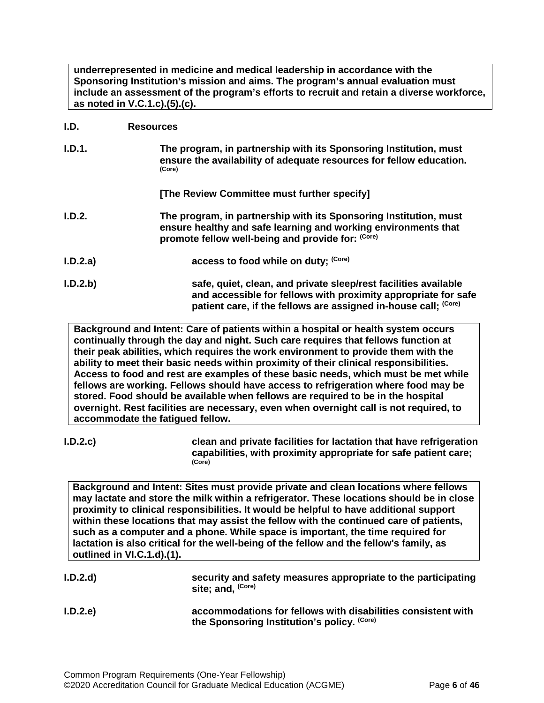**underrepresented in medicine and medical leadership in accordance with the Sponsoring Institution's mission and aims. The program's annual evaluation must include an assessment of the program's efforts to recruit and retain a diverse workforce, as noted in V.C.1.c).(5).(c).**

#### <span id="page-5-0"></span>**I.D. Resources**

| I.D.1.   | The program, in partnership with its Sponsoring Institution, must<br>ensure the availability of adequate resources for fellow education.<br>(Core)                                       |
|----------|------------------------------------------------------------------------------------------------------------------------------------------------------------------------------------------|
|          | [The Review Committee must further specify]                                                                                                                                              |
| I.D.2.   | The program, in partnership with its Sponsoring Institution, must<br>ensure healthy and safe learning and working environments that<br>promote fellow well-being and provide for: (Core) |
| I.D.2.a) | access to food while on duty; (Core)                                                                                                                                                     |
| I.D.2.b  | safe, quiet, clean, and private sleep/rest facilities available<br>and accessible for fellows with proximity appropriate for safe                                                        |

**Background and Intent: Care of patients within a hospital or health system occurs continually through the day and night. Such care requires that fellows function at their peak abilities, which requires the work environment to provide them with the ability to meet their basic needs within proximity of their clinical responsibilities. Access to food and rest are examples of these basic needs, which must be met while fellows are working. Fellows should have access to refrigeration where food may be stored. Food should be available when fellows are required to be in the hospital overnight. Rest facilities are necessary, even when overnight call is not required, to accommodate the fatigued fellow.**

**patient care, if the fellows are assigned in-house call; (Core)**

**I.D.2.c) clean and private facilities for lactation that have refrigeration capabilities, with proximity appropriate for safe patient care; (Core)**

**Background and Intent: Sites must provide private and clean locations where fellows may lactate and store the milk within a refrigerator. These locations should be in close proximity to clinical responsibilities. It would be helpful to have additional support within these locations that may assist the fellow with the continued care of patients, such as a computer and a phone. While space is important, the time required for lactation is also critical for the well-being of the fellow and the fellow's family, as outlined in VI.C.1.d).(1).**

| I.D.2.d | security and safety measures appropriate to the participating<br>site; and, <sup>(Core)</sup>               |
|---------|-------------------------------------------------------------------------------------------------------------|
| I.D.2.e | accommodations for fellows with disabilities consistent with<br>the Sponsoring Institution's policy. (Core) |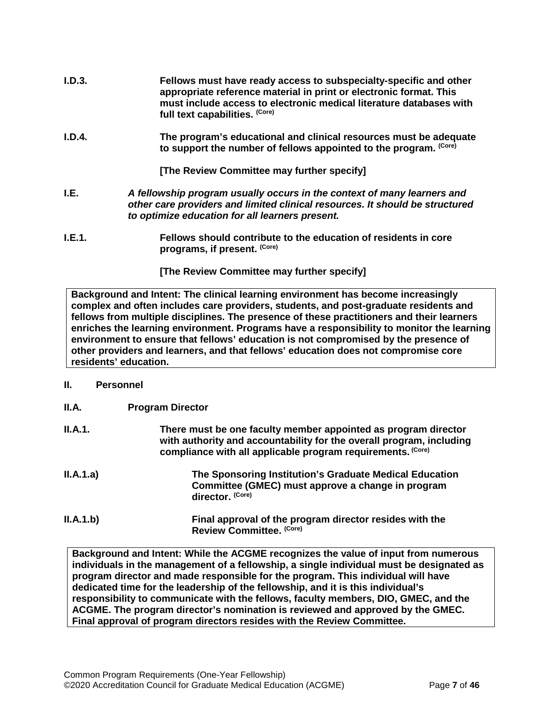- **I.D.3. Fellows must have ready access to subspecialty-specific and other appropriate reference material in print or electronic format. This must include access to electronic medical literature databases with full text capabilities. (Core)**
- **I.D.4. The program's educational and clinical resources must be adequate to support the number of fellows appointed to the program. (Core)**

**[The Review Committee may further specify]**

- <span id="page-6-0"></span>**I.E.** *A fellowship program usually occurs in the context of many learners and other care providers and limited clinical resources. It should be structured to optimize education for all learners present.*
- **I.E.1. Fellows should contribute to the education of residents in core programs, if present. (Core)**

**[The Review Committee may further specify]**

**Background and Intent: The clinical learning environment has become increasingly complex and often includes care providers, students, and post-graduate residents and fellows from multiple disciplines. The presence of these practitioners and their learners enriches the learning environment. Programs have a responsibility to monitor the learning environment to ensure that fellows' education is not compromised by the presence of other providers and learners, and that fellows' education does not compromise core residents' education.**

#### <span id="page-6-1"></span>**II. Personnel**

- <span id="page-6-2"></span>**II.A. Program Director**
- **II.A.1. There must be one faculty member appointed as program director with authority and accountability for the overall program, including compliance with all applicable program requirements. (Core)**
- **II.A.1.a) The Sponsoring Institution's Graduate Medical Education Committee (GMEC) must approve a change in program director. (Core)**
- **II.A.1.b) Final approval of the program director resides with the Review Committee. (Core)**

**Background and Intent: While the ACGME recognizes the value of input from numerous individuals in the management of a fellowship, a single individual must be designated as program director and made responsible for the program. This individual will have dedicated time for the leadership of the fellowship, and it is this individual's responsibility to communicate with the fellows, faculty members, DIO, GMEC, and the ACGME. The program director's nomination is reviewed and approved by the GMEC. Final approval of program directors resides with the Review Committee.**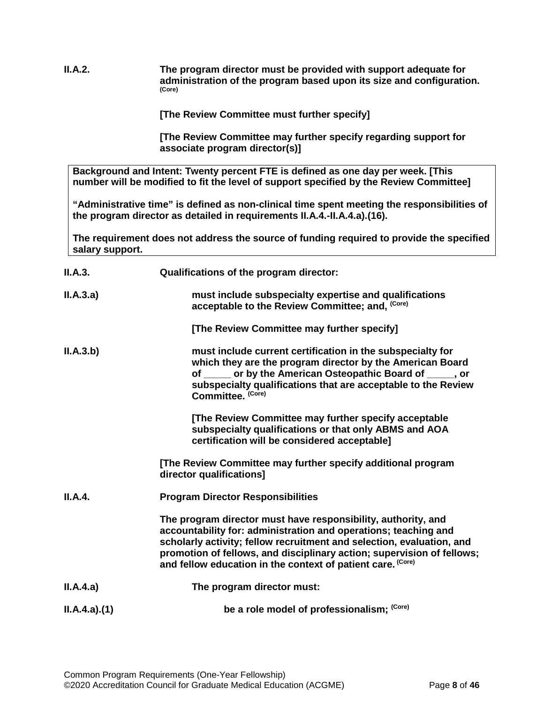**II.A.2. The program director must be provided with support adequate for administration of the program based upon its size and configuration. (Core)**

**[The Review Committee must further specify]**

**[The Review Committee may further specify regarding support for associate program director(s)]**

**Background and Intent: Twenty percent FTE is defined as one day per week. [This number will be modified to fit the level of support specified by the Review Committee]**

**"Administrative time" is defined as non-clinical time spent meeting the responsibilities of the program director as detailed in requirements II.A.4.-II.A.4.a).(16).** 

**The requirement does not address the source of funding required to provide the specified salary support.**

| II.A.3.     | Qualifications of the program director:                                                                                                                                                                                                                                                                                                            |
|-------------|----------------------------------------------------------------------------------------------------------------------------------------------------------------------------------------------------------------------------------------------------------------------------------------------------------------------------------------------------|
| II.A.3.a)   | must include subspecialty expertise and qualifications<br>acceptable to the Review Committee; and, (Core)                                                                                                                                                                                                                                          |
|             | [The Review Committee may further specify]                                                                                                                                                                                                                                                                                                         |
| II.A.3.b)   | must include current certification in the subspecialty for<br>which they are the program director by the American Board<br>of <u>or</u> or by the American Osteopathic Board of <b>or</b> , or<br>subspecialty qualifications that are acceptable to the Review<br>Committee. (Core)                                                               |
|             | [The Review Committee may further specify acceptable<br>subspecialty qualifications or that only ABMS and AOA<br>certification will be considered acceptable]                                                                                                                                                                                      |
|             | [The Review Committee may further specify additional program<br>director qualifications]                                                                                                                                                                                                                                                           |
| II.A.4.     | <b>Program Director Responsibilities</b>                                                                                                                                                                                                                                                                                                           |
|             | The program director must have responsibility, authority, and<br>accountability for: administration and operations; teaching and<br>scholarly activity; fellow recruitment and selection, evaluation, and<br>promotion of fellows, and disciplinary action; supervision of fellows;<br>and fellow education in the context of patient care. (Core) |
| II.A.4.a)   | The program director must:                                                                                                                                                                                                                                                                                                                         |
| ILA.4.a)(1) | be a role model of professionalism; (Core)                                                                                                                                                                                                                                                                                                         |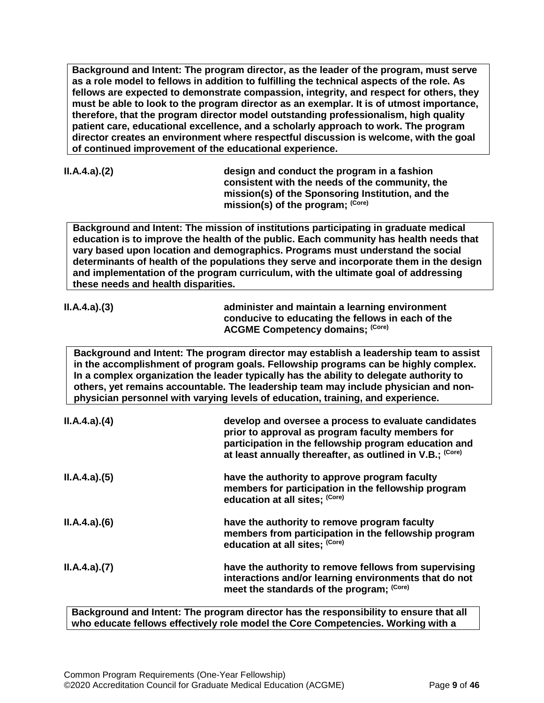**Background and Intent: The program director, as the leader of the program, must serve as a role model to fellows in addition to fulfilling the technical aspects of the role. As fellows are expected to demonstrate compassion, integrity, and respect for others, they must be able to look to the program director as an exemplar. It is of utmost importance, therefore, that the program director model outstanding professionalism, high quality patient care, educational excellence, and a scholarly approach to work. The program director creates an environment where respectful discussion is welcome, with the goal of continued improvement of the educational experience.**

|  |  | ILA.4.a)(2) |
|--|--|-------------|
|--|--|-------------|

**II.A.4.a).(2) design and conduct the program in a fashion consistent with the needs of the community, the mission(s) of the Sponsoring Institution, and the mission(s) of the program; (Core)**

**Background and Intent: The mission of institutions participating in graduate medical education is to improve the health of the public. Each community has health needs that vary based upon location and demographics. Programs must understand the social determinants of health of the populations they serve and incorporate them in the design and implementation of the program curriculum, with the ultimate goal of addressing these needs and health disparities.**

| ILA.4.a)(3) | administer and maintain a learning environment    |
|-------------|---------------------------------------------------|
|             | conducive to educating the fellows in each of the |
|             | <b>ACGME Competency domains; (Core)</b>           |
|             |                                                   |

**Background and Intent: The program director may establish a leadership team to assist in the accomplishment of program goals. Fellowship programs can be highly complex. In a complex organization the leader typically has the ability to delegate authority to others, yet remains accountable. The leadership team may include physician and nonphysician personnel with varying levels of education, training, and experience.**

| ILA.4.a)(4) | develop and oversee a process to evaluate candidates<br>prior to approval as program faculty members for<br>participation in the fellowship program education and<br>at least annually thereafter, as outlined in V.B.; (Core) |
|-------------|--------------------------------------------------------------------------------------------------------------------------------------------------------------------------------------------------------------------------------|
| ILA.4.a)(5) | have the authority to approve program faculty<br>members for participation in the fellowship program<br>education at all sites; (Core)                                                                                         |
| ILA.4.a)(6) | have the authority to remove program faculty<br>members from participation in the fellowship program<br>education at all sites; (Core)                                                                                         |
| ILA.4.a)(7) | have the authority to remove fellows from supervising<br>interactions and/or learning environments that do not<br>meet the standards of the program; (Core)                                                                    |

**Background and Intent: The program director has the responsibility to ensure that all who educate fellows effectively role model the Core Competencies. Working with a**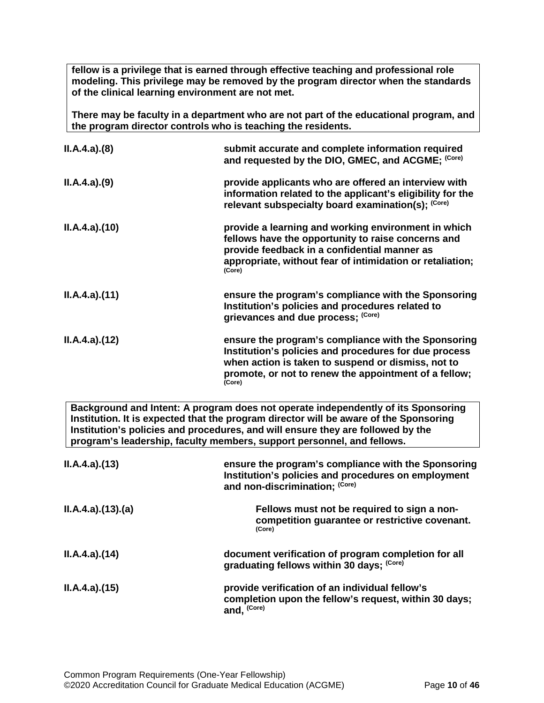**fellow is a privilege that is earned through effective teaching and professional role modeling. This privilege may be removed by the program director when the standards of the clinical learning environment are not met.**

**There may be faculty in a department who are not part of the educational program, and the program director controls who is teaching the residents.**

| ILA.4.a)(8)  | submit accurate and complete information required<br>and requested by the DIO, GMEC, and ACGME; (Core)                                                                                                                                |
|--------------|---------------------------------------------------------------------------------------------------------------------------------------------------------------------------------------------------------------------------------------|
| ILA.4.a)(9)  | provide applicants who are offered an interview with<br>information related to the applicant's eligibility for the<br>relevant subspecialty board examination(s); (Core)                                                              |
| ILA.4.a)(10) | provide a learning and working environment in which<br>fellows have the opportunity to raise concerns and<br>provide feedback in a confidential manner as<br>appropriate, without fear of intimidation or retaliation;<br>(Core)      |
| ILA.4.a)(11) | ensure the program's compliance with the Sponsoring<br>Institution's policies and procedures related to<br>grievances and due process; (Core)                                                                                         |
| ILA.4.a)(12) | ensure the program's compliance with the Sponsoring<br>Institution's policies and procedures for due process<br>when action is taken to suspend or dismiss, not to<br>promote, or not to renew the appointment of a fellow;<br>(Core) |
|              | Background and Intent: A program does not operate independently of its Sponsoring                                                                                                                                                     |

**Background and Intent: A program does not operate independently of its Sponsoring Institution. It is expected that the program director will be aware of the Sponsoring Institution's policies and procedures, and will ensure they are followed by the program's leadership, faculty members, support personnel, and fellows.**

| ILA.4.a)(13)     | ensure the program's compliance with the Sponsoring<br>Institution's policies and procedures on employment<br>and non-discrimination; (Core) |
|------------------|----------------------------------------------------------------------------------------------------------------------------------------------|
| II.A.4.a)(13)(a) | Fellows must not be required to sign a non-<br>competition guarantee or restrictive covenant.<br>(Core)                                      |
| ILA.4.a)(14)     | document verification of program completion for all<br>graduating fellows within 30 days; (Core)                                             |
| ILA.4.a)(15)     | provide verification of an individual fellow's<br>completion upon the fellow's request, within 30 days;<br>and, (Core)                       |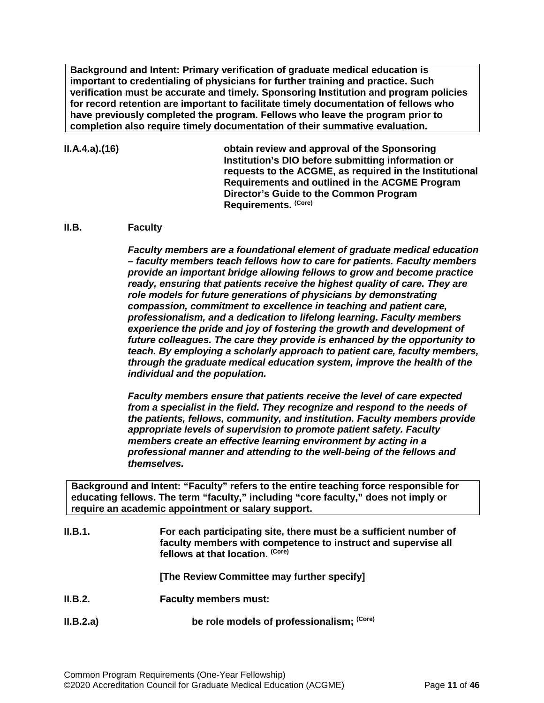**Background and Intent: Primary verification of graduate medical education is important to credentialing of physicians for further training and practice. Such verification must be accurate and timely. Sponsoring Institution and program policies for record retention are important to facilitate timely documentation of fellows who have previously completed the program. Fellows who leave the program prior to completion also require timely documentation of their summative evaluation.**

#### **II.A.4.a).(16) obtain review and approval of the Sponsoring Institution's DIO before submitting information or requests to the ACGME, as required in the Institutional Requirements and outlined in the ACGME Program Director's Guide to the Common Program Requirements. (Core)**

#### <span id="page-10-0"></span>**II.B. Faculty**

*Faculty members are a foundational element of graduate medical education – faculty members teach fellows how to care for patients. Faculty members provide an important bridge allowing fellows to grow and become practice ready, ensuring that patients receive the highest quality of care. They are role models for future generations of physicians by demonstrating compassion, commitment to excellence in teaching and patient care, professionalism, and a dedication to lifelong learning. Faculty members experience the pride and joy of fostering the growth and development of future colleagues. The care they provide is enhanced by the opportunity to teach. By employing a scholarly approach to patient care, faculty members, through the graduate medical education system, improve the health of the individual and the population.*

*Faculty members ensure that patients receive the level of care expected from a specialist in the field. They recognize and respond to the needs of the patients, fellows, community, and institution. Faculty members provide appropriate levels of supervision to promote patient safety. Faculty members create an effective learning environment by acting in a professional manner and attending to the well-being of the fellows and themselves.*

**Background and Intent: "Faculty" refers to the entire teaching force responsible for educating fellows. The term "faculty," including "core faculty," does not imply or require an academic appointment or salary support.**

| II.B.1.   | For each participating site, there must be a sufficient number of<br>faculty members with competence to instruct and supervise all<br>fellows at that location. (Core) |  |
|-----------|------------------------------------------------------------------------------------------------------------------------------------------------------------------------|--|
|           | [The Review Committee may further specify]                                                                                                                             |  |
| II.B.2.   | <b>Faculty members must:</b>                                                                                                                                           |  |
| II.B.2.a) | be role models of professionalism; (Core)                                                                                                                              |  |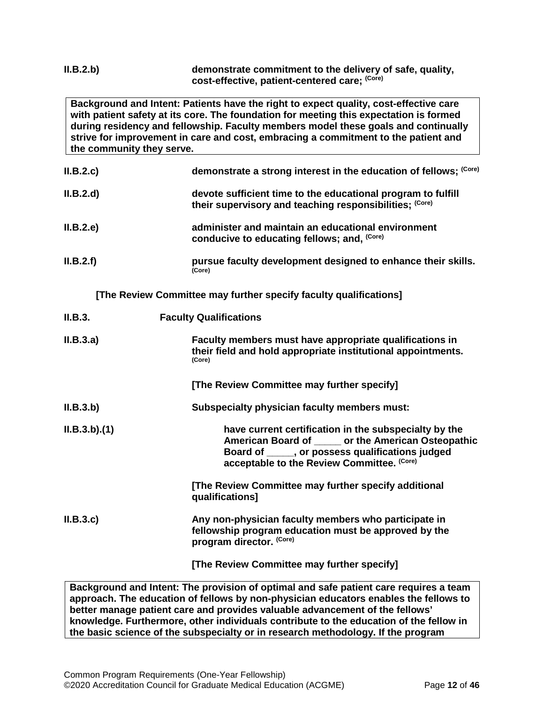#### **II.B.2.b) demonstrate commitment to the delivery of safe, quality, cost-effective, patient-centered care; (Core)**

**Background and Intent: Patients have the right to expect quality, cost-effective care with patient safety at its core. The foundation for meeting this expectation is formed during residency and fellowship. Faculty members model these goals and continually strive for improvement in care and cost, embracing a commitment to the patient and the community they serve.**

| II.B.2.c | demonstrate a strong interest in the education of fellows; (Core)                                                       |
|----------|-------------------------------------------------------------------------------------------------------------------------|
| II.B.2.d | devote sufficient time to the educational program to fulfill<br>their supervisory and teaching responsibilities; (Core) |
| II.B.2.e | administer and maintain an educational environment<br>conducive to educating fellows; and, (Core)                       |
| II.B.2.f | pursue faculty development designed to enhance their skills.<br>(Core)                                                  |

**[The Review Committee may further specify faculty qualifications]**

| II.B.3.     | <b>Faculty Qualifications</b>                                                                                                                                                                                    |
|-------------|------------------------------------------------------------------------------------------------------------------------------------------------------------------------------------------------------------------|
| II.B.3.a)   | Faculty members must have appropriate qualifications in<br>their field and hold appropriate institutional appointments.<br>(Core)                                                                                |
|             | [The Review Committee may further specify]                                                                                                                                                                       |
| II.B.3.b)   | Subspecialty physician faculty members must:                                                                                                                                                                     |
| ILB.3.b)(1) | have current certification in the subspecialty by the<br>American Board of ______ or the American Osteopathic<br>Board of ______, or possess qualifications judged<br>acceptable to the Review Committee. (Core) |
|             | [The Review Committee may further specify additional<br>qualifications]                                                                                                                                          |
| II.B.3.c    | Any non-physician faculty members who participate in<br>fellowship program education must be approved by the<br>program director. (Core)                                                                         |
|             | [The Review Committee may further specify]                                                                                                                                                                       |
|             | Background and Intent: The provision of optimal and safe patient care requires a team                                                                                                                            |

**approach. The education of fellows by non-physician educators enables the fellows to better manage patient care and provides valuable advancement of the fellows' knowledge. Furthermore, other individuals contribute to the education of the fellow in the basic science of the subspecialty or in research methodology. If the program**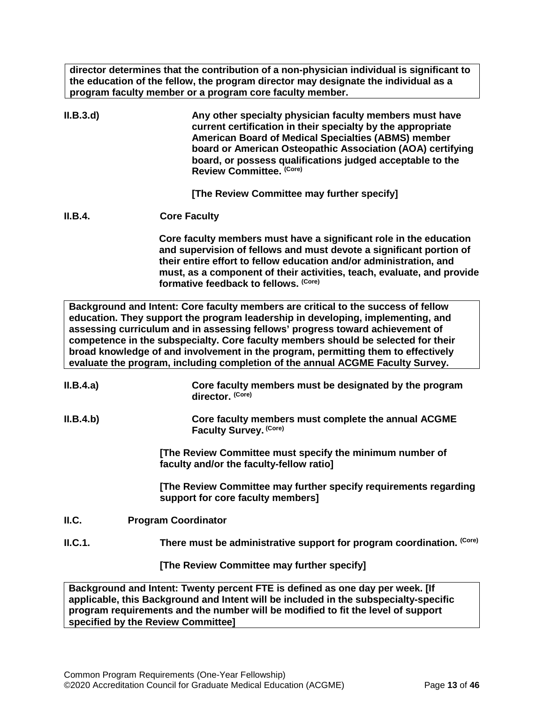**director determines that the contribution of a non-physician individual is significant to the education of the fellow, the program director may designate the individual as a program faculty member or a program core faculty member.**

| II.B.3.d  | Any other specialty physician faculty members must have<br>current certification in their specialty by the appropriate<br><b>American Board of Medical Specialties (ABMS) member</b><br>board or American Osteopathic Association (AOA) certifying<br>board, or possess qualifications judged acceptable to the<br>Review Committee. (Core)                                                                                                                                                                       |
|-----------|-------------------------------------------------------------------------------------------------------------------------------------------------------------------------------------------------------------------------------------------------------------------------------------------------------------------------------------------------------------------------------------------------------------------------------------------------------------------------------------------------------------------|
|           | [The Review Committee may further specify]                                                                                                                                                                                                                                                                                                                                                                                                                                                                        |
| II.B.4.   | <b>Core Faculty</b>                                                                                                                                                                                                                                                                                                                                                                                                                                                                                               |
|           | Core faculty members must have a significant role in the education<br>and supervision of fellows and must devote a significant portion of<br>their entire effort to fellow education and/or administration, and<br>must, as a component of their activities, teach, evaluate, and provide<br>formative feedback to fellows. (Core)                                                                                                                                                                                |
|           | Background and Intent: Core faculty members are critical to the success of fellow<br>education. They support the program leadership in developing, implementing, and<br>assessing curriculum and in assessing fellows' progress toward achievement of<br>competence in the subspecialty. Core faculty members should be selected for their<br>broad knowledge of and involvement in the program, permitting them to effectively<br>evaluate the program, including completion of the annual ACGME Faculty Survey. |
| II.B.4.a) | Core faculty members must be designated by the program<br>director. (Core)                                                                                                                                                                                                                                                                                                                                                                                                                                        |
| II.B.4.b) | Core faculty members must complete the annual ACGME<br>Faculty Survey. (Core)                                                                                                                                                                                                                                                                                                                                                                                                                                     |
|           | [The Review Committee must specify the minimum number of<br>faculty and/or the faculty-fellow ratio]                                                                                                                                                                                                                                                                                                                                                                                                              |
|           | [The Review Committee may further specify requirements regarding<br>support for core faculty members]                                                                                                                                                                                                                                                                                                                                                                                                             |
| ILC.      | <b>Program Coordinator</b>                                                                                                                                                                                                                                                                                                                                                                                                                                                                                        |
| ILC.1.    | There must be administrative support for program coordination. (Core)                                                                                                                                                                                                                                                                                                                                                                                                                                             |
|           | [The Review Committee may further specify]                                                                                                                                                                                                                                                                                                                                                                                                                                                                        |
|           | Background and Intent: Twenty percent FTE is defined as one day per week. [If<br>applicable, this Background and Intent will be included in the subspecialty-specific<br>program requirements and the number will be modified to fit the level of support                                                                                                                                                                                                                                                         |

<span id="page-12-0"></span>**specified by the Review Committee]**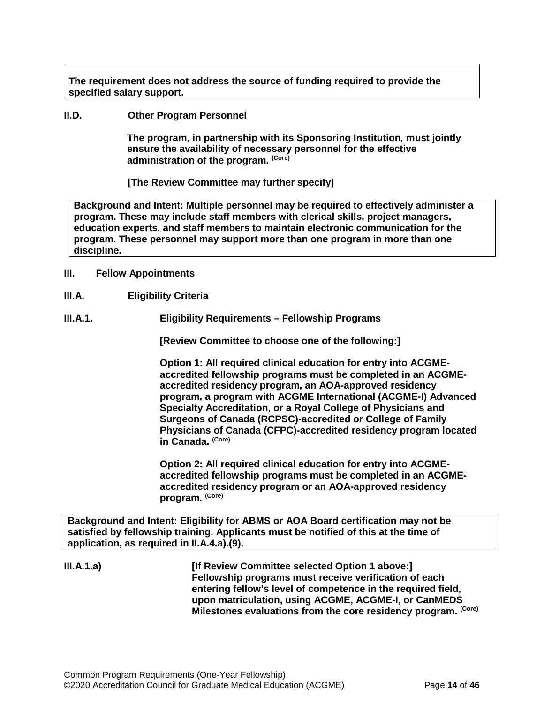**The requirement does not address the source of funding required to provide the specified salary support.**

<span id="page-13-0"></span>**II.D. Other Program Personnel**

**The program, in partnership with its Sponsoring Institution***,* **must jointly ensure the availability of necessary personnel for the effective administration of the program. (Core)**

**[The Review Committee may further specify]**

**Background and Intent: Multiple personnel may be required to effectively administer a program. These may include staff members with clerical skills, project managers, education experts, and staff members to maintain electronic communication for the program. These personnel may support more than one program in more than one discipline.**

- <span id="page-13-1"></span>**III. Fellow Appointments**
- <span id="page-13-2"></span>**III.A. Eligibility Criteria**
- **III.A.1. Eligibility Requirements – Fellowship Programs**

**[Review Committee to choose one of the following:]**

**Option 1: All required clinical education for entry into ACGMEaccredited fellowship programs must be completed in an ACGMEaccredited residency program, an AOA-approved residency program, a program with ACGME International (ACGME-I) Advanced Specialty Accreditation, or a Royal College of Physicians and Surgeons of Canada (RCPSC)-accredited or College of Family Physicians of Canada (CFPC)-accredited residency program located in Canada. (Core)**

**Option 2: All required clinical education for entry into ACGMEaccredited fellowship programs must be completed in an ACGMEaccredited residency program or an AOA-approved residency program. (Core)**

**Background and Intent: Eligibility for ABMS or AOA Board certification may not be satisfied by fellowship training. Applicants must be notified of this at the time of application, as required in II.A.4.a).(9).**

**III.A.1.a) [If Review Committee selected Option 1 above:] Fellowship programs must receive verification of each entering fellow's level of competence in the required field, upon matriculation, using ACGME, ACGME-I, or CanMEDS Milestones evaluations from the core residency program. (Core)**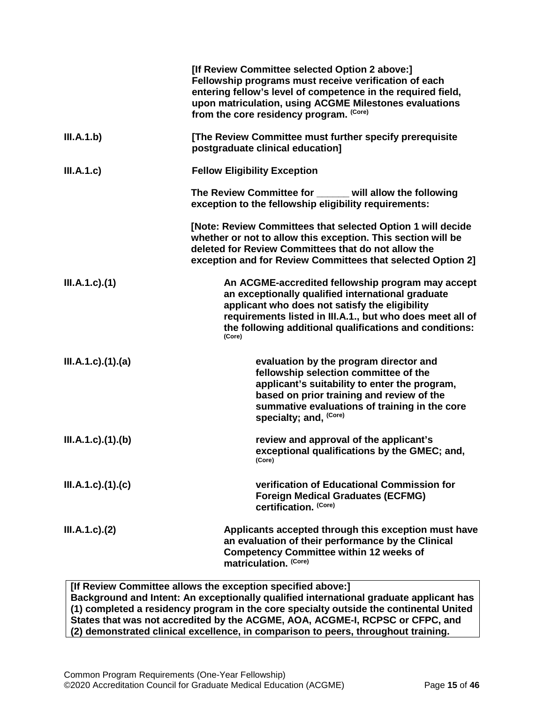|                             | [If Review Committee selected Option 2 above:]<br>Fellowship programs must receive verification of each<br>entering fellow's level of competence in the required field,<br>upon matriculation, using ACGME Milestones evaluations<br>from the core residency program. (Core)               |
|-----------------------------|--------------------------------------------------------------------------------------------------------------------------------------------------------------------------------------------------------------------------------------------------------------------------------------------|
| III.A.1.b)                  | [The Review Committee must further specify prerequisite<br>postgraduate clinical education]                                                                                                                                                                                                |
| III.A.1.c)                  | <b>Fellow Eligibility Exception</b>                                                                                                                                                                                                                                                        |
|                             | The Review Committee for _____ will allow the following<br>exception to the fellowship eligibility requirements:                                                                                                                                                                           |
|                             | [Note: Review Committees that selected Option 1 will decide<br>whether or not to allow this exception. This section will be<br>deleted for Review Committees that do not allow the<br>exception and for Review Committees that selected Option 2]                                          |
| $III.A.1.c$ ). $(1)$        | An ACGME-accredited fellowship program may accept<br>an exceptionally qualified international graduate<br>applicant who does not satisfy the eligibility<br>requirements listed in III.A.1., but who does meet all of<br>the following additional qualifications and conditions:<br>(Core) |
| $III.A.1.c$ ). $(1).$ $(a)$ | evaluation by the program director and<br>fellowship selection committee of the<br>applicant's suitability to enter the program,<br>based on prior training and review of the<br>summative evaluations of training in the core<br>specialty; and, <sup>(Core)</sup>                        |
| $III.A.1.c$ ). $(1).$ (b)   | review and approval of the applicant's<br>exceptional qualifications by the GMEC; and,<br>(Core)                                                                                                                                                                                           |
| III.A.1.c)(1)(c)            | verification of Educational Commission for<br><b>Foreign Medical Graduates (ECFMG)</b><br>certification. (Core)                                                                                                                                                                            |
| III.A.1.c.2)                | Applicants accepted through this exception must have<br>an evaluation of their performance by the Clinical<br><b>Competency Committee within 12 weeks of</b><br>matriculation. (Core)                                                                                                      |
|                             | <b>If Review Committee allows the exception specified above <math>1</math></b>                                                                                                                                                                                                             |

**[If Review Committee allows the exception specified above:] Background and Intent: An exceptionally qualified international graduate applicant has (1) completed a residency program in the core specialty outside the continental United States that was not accredited by the ACGME, AOA, ACGME-I, RCPSC or CFPC, and (2) demonstrated clinical excellence, in comparison to peers, throughout training.**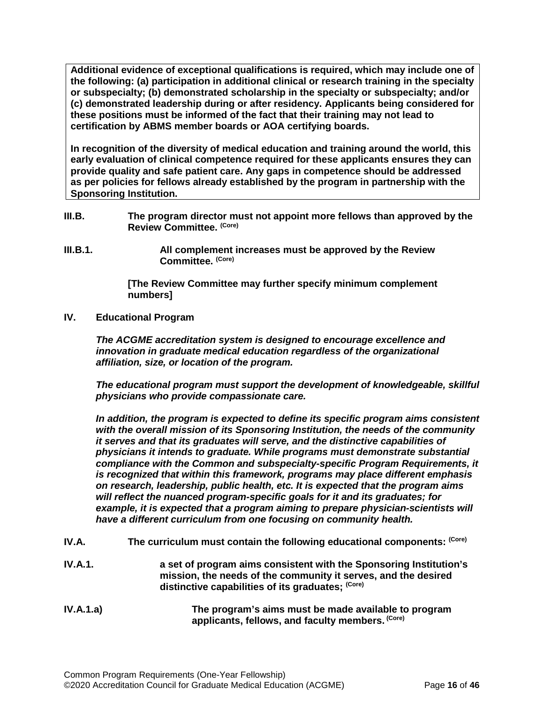**Additional evidence of exceptional qualifications is required, which may include one of the following: (a) participation in additional clinical or research training in the specialty or subspecialty; (b) demonstrated scholarship in the specialty or subspecialty; and/or (c) demonstrated leadership during or after residency. Applicants being considered for these positions must be informed of the fact that their training may not lead to certification by ABMS member boards or AOA certifying boards.**

**In recognition of the diversity of medical education and training around the world, this early evaluation of clinical competence required for these applicants ensures they can provide quality and safe patient care. Any gaps in competence should be addressed as per policies for fellows already established by the program in partnership with the Sponsoring Institution.**

- <span id="page-15-0"></span>**III.B. The program director must not appoint more fellows than approved by the Review Committee. (Core)**
- **III.B.1. All complement increases must be approved by the Review Committee. (Core)**

**[The Review Committee may further specify minimum complement numbers]**

<span id="page-15-1"></span>**IV. Educational Program**

*The ACGME accreditation system is designed to encourage excellence and innovation in graduate medical education regardless of the organizational affiliation, size, or location of the program.*

*The educational program must support the development of knowledgeable, skillful physicians who provide compassionate care.*

*In addition, the program is expected to define its specific program aims consistent with the overall mission of its Sponsoring Institution, the needs of the community it serves and that its graduates will serve, and the distinctive capabilities of physicians it intends to graduate. While programs must demonstrate substantial compliance with the Common and subspecialty-specific Program Requirements, it is recognized that within this framework, programs may place different emphasis on research, leadership, public health, etc. It is expected that the program aims will reflect the nuanced program-specific goals for it and its graduates; for*  example, it is expected that a program aiming to prepare physician-scientists will *have a different curriculum from one focusing on community health.*

- <span id="page-15-2"></span>IV.A. The curriculum must contain the following educational components: (Core)
- **IV.A.1. a set of program aims consistent with the Sponsoring Institution's mission, the needs of the community it serves, and the desired distinctive capabilities of its graduates; (Core)**
- **IV.A.1.a) The program's aims must be made available to program applicants, fellows, and faculty members. (Core)**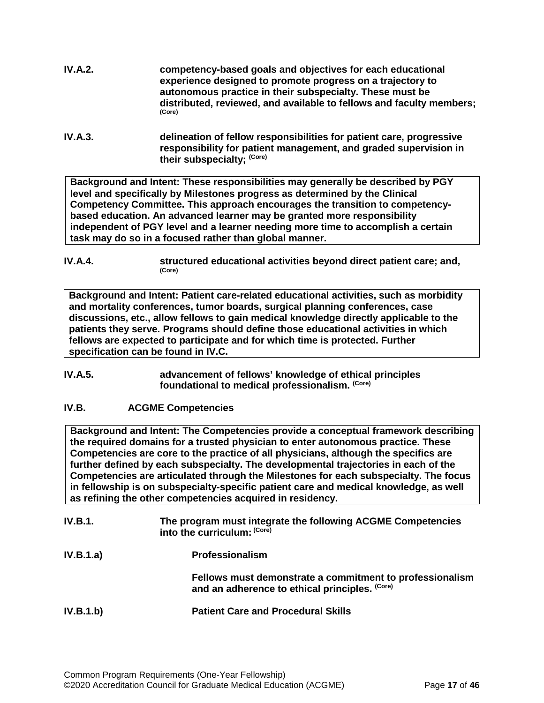- **IV.A.2. competency-based goals and objectives for each educational experience designed to promote progress on a trajectory to autonomous practice in their subspecialty. These must be distributed, reviewed, and available to fellows and faculty members; (Core)**
- **IV.A.3. delineation of fellow responsibilities for patient care, progressive responsibility for patient management, and graded supervision in their subspecialty; (Core)**

**Background and Intent: These responsibilities may generally be described by PGY level and specifically by Milestones progress as determined by the Clinical Competency Committee. This approach encourages the transition to competencybased education. An advanced learner may be granted more responsibility independent of PGY level and a learner needing more time to accomplish a certain task may do so in a focused rather than global manner.**

**IV.A.4. structured educational activities beyond direct patient care; and,**  $(Core)$ 

**Background and Intent: Patient care-related educational activities, such as morbidity and mortality conferences, tumor boards, surgical planning conferences, case discussions, etc., allow fellows to gain medical knowledge directly applicable to the patients they serve. Programs should define those educational activities in which fellows are expected to participate and for which time is protected. Further specification can be found in IV.C.**

**IV.A.5. advancement of fellows' knowledge of ethical principles foundational to medical professionalism. (Core)**

# <span id="page-16-0"></span>**IV.B. ACGME Competencies**

**Background and Intent: The Competencies provide a conceptual framework describing the required domains for a trusted physician to enter autonomous practice. These Competencies are core to the practice of all physicians, although the specifics are further defined by each subspecialty. The developmental trajectories in each of the Competencies are articulated through the Milestones for each subspecialty. The focus in fellowship is on subspecialty-specific patient care and medical knowledge, as well as refining the other competencies acquired in residency.**

| <b>IV.B.1.</b> | The program must integrate the following ACGME Competencies<br>into the curriculum: (Core)                 |
|----------------|------------------------------------------------------------------------------------------------------------|
| IV.B.1.a)      | <b>Professionalism</b>                                                                                     |
|                | Fellows must demonstrate a commitment to professionalism<br>and an adherence to ethical principles. (Core) |
| IV.B.1.b)      | <b>Patient Care and Procedural Skills</b>                                                                  |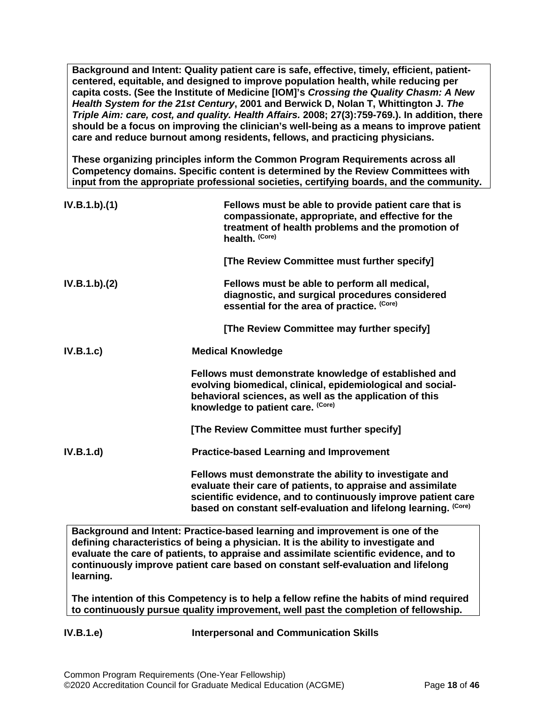**Background and Intent: Quality patient care is safe, effective, timely, efficient, patientcentered, equitable, and designed to improve population health, while reducing per capita costs. (See the Institute of Medicine [IOM]'s** *Crossing the Quality Chasm: A New Health System for the 21st Century***, 2001 and Berwick D, Nolan T, Whittington J.** *The Triple Aim: care, cost, and quality. Health Affairs.* **2008; 27(3):759-769.). In addition, there should be a focus on improving the clinician's well-being as a means to improve patient care and reduce burnout among residents, fellows, and practicing physicians.**

**These organizing principles inform the Common Program Requirements across all Competency domains. Specific content is determined by the Review Committees with input from the appropriate professional societies, certifying boards, and the community.**

| IV.B.1.b)(1) | Fellows must be able to provide patient care that is<br>compassionate, appropriate, and effective for the<br>treatment of health problems and the promotion of<br>health. (Core)                                                                           |
|--------------|------------------------------------------------------------------------------------------------------------------------------------------------------------------------------------------------------------------------------------------------------------|
|              | [The Review Committee must further specify]                                                                                                                                                                                                                |
| IV.B.1.b)(2) | Fellows must be able to perform all medical,<br>diagnostic, and surgical procedures considered<br>essential for the area of practice. (Core)                                                                                                               |
|              | [The Review Committee may further specify]                                                                                                                                                                                                                 |
| IV.B.1.c     | <b>Medical Knowledge</b>                                                                                                                                                                                                                                   |
|              | Fellows must demonstrate knowledge of established and<br>evolving biomedical, clinical, epidemiological and social-<br>behavioral sciences, as well as the application of this<br>knowledge to patient care. (Core)                                        |
|              | [The Review Committee must further specify]                                                                                                                                                                                                                |
| IV.B.1.d     | <b>Practice-based Learning and Improvement</b>                                                                                                                                                                                                             |
|              | Fellows must demonstrate the ability to investigate and<br>evaluate their care of patients, to appraise and assimilate<br>scientific evidence, and to continuously improve patient care<br>based on constant self-evaluation and lifelong learning. (Core) |

**Background and Intent: Practice-based learning and improvement is one of the defining characteristics of being a physician. It is the ability to investigate and evaluate the care of patients, to appraise and assimilate scientific evidence, and to continuously improve patient care based on constant self-evaluation and lifelong learning.**

**The intention of this Competency is to help a fellow refine the habits of mind required to continuously pursue quality improvement, well past the completion of fellowship.**

**IV.B.1.e) Interpersonal and Communication Skills**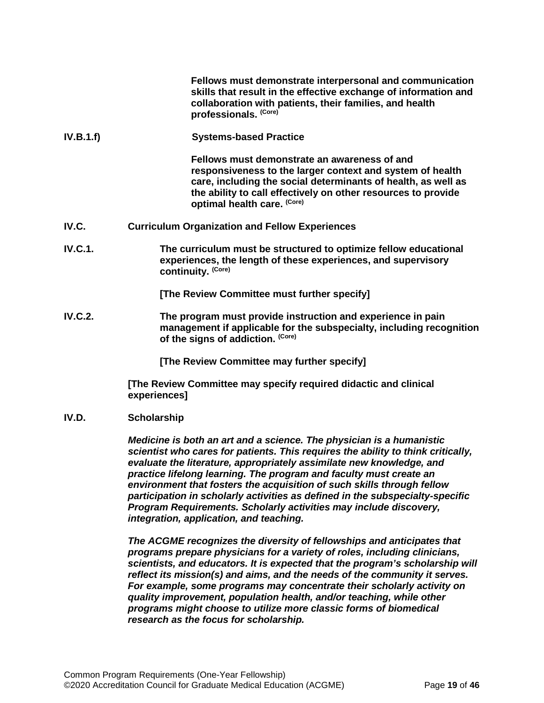|           | Fellows must demonstrate interpersonal and communication<br>skills that result in the effective exchange of information and<br>collaboration with patients, their families, and health<br>professionals. (Core)                                                            |
|-----------|----------------------------------------------------------------------------------------------------------------------------------------------------------------------------------------------------------------------------------------------------------------------------|
| IV.B.1.f) | <b>Systems-based Practice</b>                                                                                                                                                                                                                                              |
|           | Fellows must demonstrate an awareness of and<br>responsiveness to the larger context and system of health<br>care, including the social determinants of health, as well as<br>the ability to call effectively on other resources to provide<br>optimal health care. (Core) |
| IV.C.     | <b>Curriculum Organization and Fellow Experiences</b>                                                                                                                                                                                                                      |
| IV.C.1.   | The curriculum must be structured to optimize fellow educational<br>experiences, the length of these experiences, and supervisory<br>continuity. (Core)                                                                                                                    |
|           | [The Review Committee must further specify]                                                                                                                                                                                                                                |

<span id="page-18-0"></span>**IV.C.2. The program must provide instruction and experience in pain management if applicable for the subspecialty, including recognition of the signs of addiction. (Core)**

**[The Review Committee may further specify]**

**[The Review Committee may specify required didactic and clinical experiences]**

<span id="page-18-1"></span>**IV.D. Scholarship**

*Medicine is both an art and a science. The physician is a humanistic scientist who cares for patients. This requires the ability to think critically, evaluate the literature, appropriately assimilate new knowledge, and practice lifelong learning. The program and faculty must create an environment that fosters the acquisition of such skills through fellow participation in scholarly activities as defined in the subspecialty-specific Program Requirements. Scholarly activities may include discovery, integration, application, and teaching.*

*The ACGME recognizes the diversity of fellowships and anticipates that programs prepare physicians for a variety of roles, including clinicians, scientists, and educators. It is expected that the program's scholarship will reflect its mission(s) and aims, and the needs of the community it serves. For example, some programs may concentrate their scholarly activity on quality improvement, population health, and/or teaching, while other programs might choose to utilize more classic forms of biomedical research as the focus for scholarship.*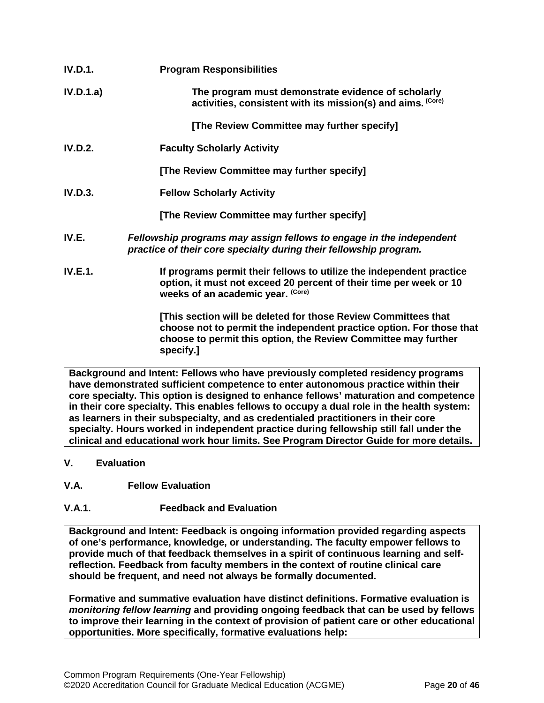| <b>IV.D.1.</b> | <b>Program Responsibilities</b>                                                                                                                                                 |
|----------------|---------------------------------------------------------------------------------------------------------------------------------------------------------------------------------|
| IV.D.1.a)      | The program must demonstrate evidence of scholarly<br>activities, consistent with its mission(s) and aims. (Core)                                                               |
|                | [The Review Committee may further specify]                                                                                                                                      |
| <b>IV.D.2.</b> | <b>Faculty Scholarly Activity</b>                                                                                                                                               |
|                | [The Review Committee may further specify]                                                                                                                                      |
| IV.D.3.        | <b>Fellow Scholarly Activity</b>                                                                                                                                                |
|                | [The Review Committee may further specify]                                                                                                                                      |
| IV.E.          | Fellowship programs may assign fellows to engage in the independent<br>practice of their core specialty during their fellowship program.                                        |
| <b>IV.E.1.</b> | If programs permit their fellows to utilize the independent practice<br>option, it must not exceed 20 percent of their time per week or 10<br>weeks of an academic year. (Core) |
|                | [This section will be deleted for those Review Committees that<br>choose not to permit the independent practice option. For those that                                          |

<span id="page-19-0"></span>**Background and Intent: Fellows who have previously completed residency programs have demonstrated sufficient competence to enter autonomous practice within their core specialty. This option is designed to enhance fellows' maturation and competence in their core specialty. This enables fellows to occupy a dual role in the health system: as learners in their subspecialty, and as credentialed practitioners in their core specialty. Hours worked in independent practice during fellowship still fall under the clinical and educational work hour limits. See Program Director Guide for more details.**

**choose to permit this option, the Review Committee may further** 

- <span id="page-19-1"></span>**V. Evaluation**
- <span id="page-19-2"></span>**V.A. Fellow Evaluation**
- **V.A.1. Feedback and Evaluation**

**specify.]**

**Background and Intent: Feedback is ongoing information provided regarding aspects of one's performance, knowledge, or understanding. The faculty empower fellows to provide much of that feedback themselves in a spirit of continuous learning and selfreflection. Feedback from faculty members in the context of routine clinical care should be frequent, and need not always be formally documented.**

**Formative and summative evaluation have distinct definitions. Formative evaluation is**  *monitoring fellow learning* **and providing ongoing feedback that can be used by fellows to improve their learning in the context of provision of patient care or other educational opportunities. More specifically, formative evaluations help:**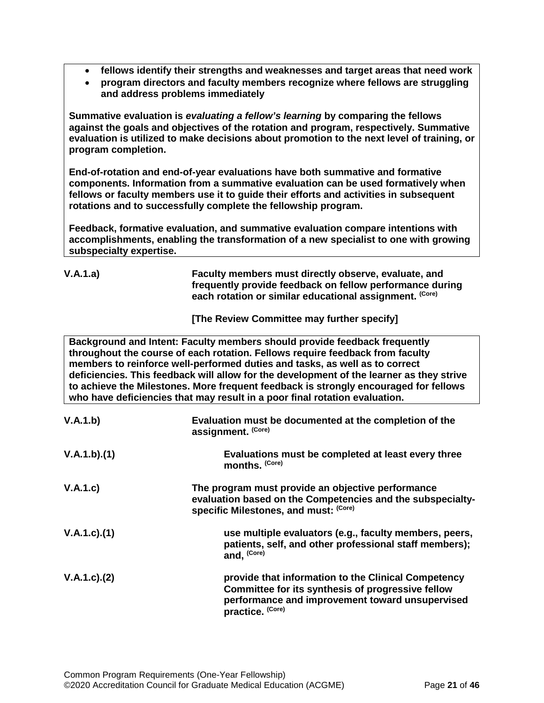- **fellows identify their strengths and weaknesses and target areas that need work**
- **program directors and faculty members recognize where fellows are struggling and address problems immediately**

**Summative evaluation is** *evaluating a fellow's learning* **by comparing the fellows against the goals and objectives of the rotation and program, respectively. Summative evaluation is utilized to make decisions about promotion to the next level of training, or program completion.**

**End-of-rotation and end-of-year evaluations have both summative and formative components. Information from a summative evaluation can be used formatively when fellows or faculty members use it to guide their efforts and activities in subsequent rotations and to successfully complete the fellowship program.**

**Feedback, formative evaluation, and summative evaluation compare intentions with accomplishments, enabling the transformation of a new specialist to one with growing subspecialty expertise.** 

| V.A.1.a) | Faculty members must directly observe, evaluate, and<br>frequently provide feedback on fellow performance during<br>each rotation or similar educational assignment. (Core) |
|----------|-----------------------------------------------------------------------------------------------------------------------------------------------------------------------------|
|          | [The Review Committee may further specify]                                                                                                                                  |

**Background and Intent: Faculty members should provide feedback frequently throughout the course of each rotation. Fellows require feedback from faculty members to reinforce well-performed duties and tasks, as well as to correct deficiencies. This feedback will allow for the development of the learner as they strive to achieve the Milestones. More frequent feedback is strongly encouraged for fellows who have deficiencies that may result in a poor final rotation evaluation.**

| V.A.1.b)          | Evaluation must be documented at the completion of the<br>assignment. (Core)                                                                                                    |
|-------------------|---------------------------------------------------------------------------------------------------------------------------------------------------------------------------------|
| V.A.1.b)(1)       | Evaluations must be completed at least every three<br>months. (Core)                                                                                                            |
| V.A.1.c)          | The program must provide an objective performance<br>evaluation based on the Competencies and the subspecialty-<br>specific Milestones, and must: (Core)                        |
| $V.A.1.c$ . $(1)$ | use multiple evaluators (e.g., faculty members, peers,<br>patients, self, and other professional staff members);<br>and, (Core)                                                 |
| $V.A.1.c$ . $(2)$ | provide that information to the Clinical Competency<br>Committee for its synthesis of progressive fellow<br>performance and improvement toward unsupervised<br>practice. (Core) |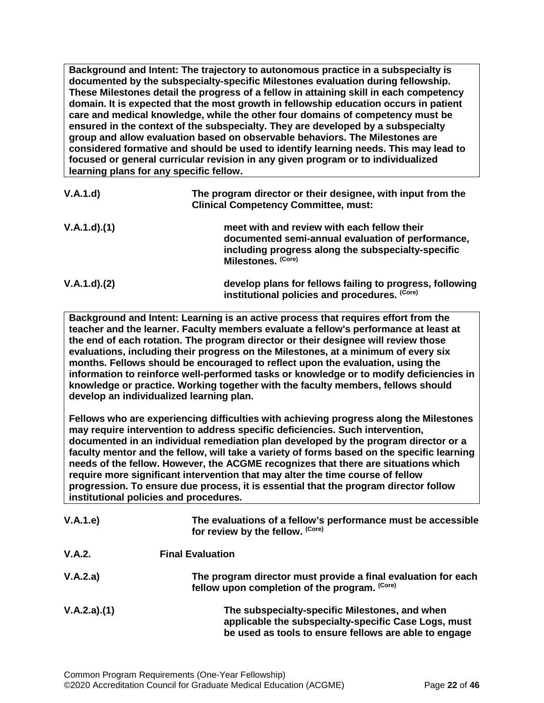**Background and Intent: The trajectory to autonomous practice in a subspecialty is documented by the subspecialty-specific Milestones evaluation during fellowship. These Milestones detail the progress of a fellow in attaining skill in each competency domain. It is expected that the most growth in fellowship education occurs in patient care and medical knowledge, while the other four domains of competency must be ensured in the context of the subspecialty. They are developed by a subspecialty group and allow evaluation based on observable behaviors. The Milestones are considered formative and should be used to identify learning needs. This may lead to focused or general curricular revision in any given program or to individualized learning plans for any specific fellow.**

| V.A.1.d)    | The program director or their designee, with input from the<br><b>Clinical Competency Committee, must:</b>                                                                   |
|-------------|------------------------------------------------------------------------------------------------------------------------------------------------------------------------------|
| V.A.1.d)(1) | meet with and review with each fellow their<br>documented semi-annual evaluation of performance,<br>including progress along the subspecialty-specific<br>Milestones. (Core) |
| V.A.1.d)(2) | develop plans for fellows failing to progress, following<br>institutional policies and procedures. (Core)                                                                    |

**Background and Intent: Learning is an active process that requires effort from the teacher and the learner. Faculty members evaluate a fellow's performance at least at the end of each rotation. The program director or their designee will review those evaluations, including their progress on the Milestones, at a minimum of every six months. Fellows should be encouraged to reflect upon the evaluation, using the information to reinforce well-performed tasks or knowledge or to modify deficiencies in knowledge or practice. Working together with the faculty members, fellows should develop an individualized learning plan.**

**Fellows who are experiencing difficulties with achieving progress along the Milestones may require intervention to address specific deficiencies. Such intervention, documented in an individual remediation plan developed by the program director or a faculty mentor and the fellow, will take a variety of forms based on the specific learning needs of the fellow. However, the ACGME recognizes that there are situations which require more significant intervention that may alter the time course of fellow progression. To ensure due process, it is essential that the program director follow institutional policies and procedures.**

| V.A.1.e)    | The evaluations of a fellow's performance must be accessible<br>for review by the fellow. (Core)                                                                |
|-------------|-----------------------------------------------------------------------------------------------------------------------------------------------------------------|
| V.A.2.      | <b>Final Evaluation</b>                                                                                                                                         |
| V.A.2.a)    | The program director must provide a final evaluation for each<br>fellow upon completion of the program. (Core)                                                  |
| V.A.2.a)(1) | The subspecialty-specific Milestones, and when<br>applicable the subspecialty-specific Case Logs, must<br>be used as tools to ensure fellows are able to engage |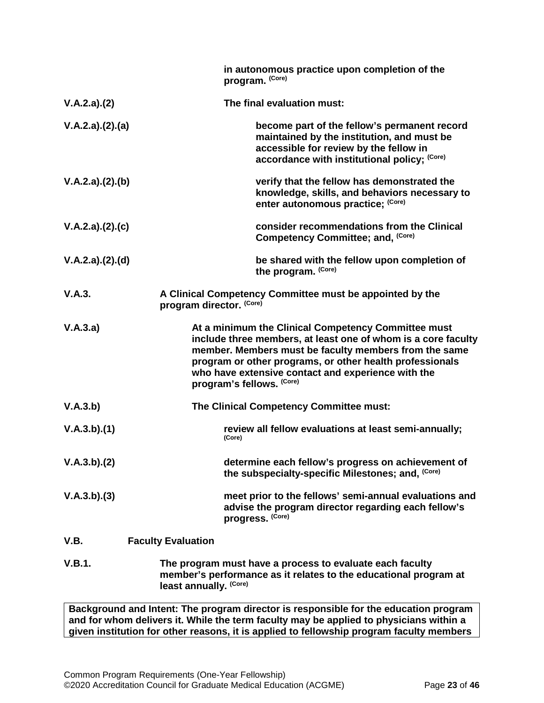|                 | in autonomous practice upon completion of the<br>program. (Core)                                                                                                                                                                                                                                                             |
|-----------------|------------------------------------------------------------------------------------------------------------------------------------------------------------------------------------------------------------------------------------------------------------------------------------------------------------------------------|
| V.A.2.a)(2)     | The final evaluation must:                                                                                                                                                                                                                                                                                                   |
| V.A.2.a)(2).(a) | become part of the fellow's permanent record<br>maintained by the institution, and must be<br>accessible for review by the fellow in<br>accordance with institutional policy; (Core)                                                                                                                                         |
| V.A.2.a)(2).(b) | verify that the fellow has demonstrated the<br>knowledge, skills, and behaviors necessary to<br>enter autonomous practice; (Core)                                                                                                                                                                                            |
| V.A.2.a)(2).(c) | consider recommendations from the Clinical<br>Competency Committee; and, (Core)                                                                                                                                                                                                                                              |
| V.A.2.a)(2).(d) | be shared with the fellow upon completion of<br>the program. (Core)                                                                                                                                                                                                                                                          |
| V.A.3.          | A Clinical Competency Committee must be appointed by the<br>program director. (Core)                                                                                                                                                                                                                                         |
| V.A.3.a)        | At a minimum the Clinical Competency Committee must<br>include three members, at least one of whom is a core faculty<br>member. Members must be faculty members from the same<br>program or other programs, or other health professionals<br>who have extensive contact and experience with the<br>program's fellows. (Core) |
| V.A.3.b)        | The Clinical Competency Committee must:                                                                                                                                                                                                                                                                                      |
| V.A.3.b)(1)     | review all fellow evaluations at least semi-annually;<br>(Core)                                                                                                                                                                                                                                                              |
| V.A.3.b)(2)     | determine each fellow's progress on achievement of<br>the subspecialty-specific Milestones; and, (Core)                                                                                                                                                                                                                      |
| V.A.3.b)(3)     | meet prior to the fellows' semi-annual evaluations and<br>advise the program director regarding each fellow's<br>progress. (Core)                                                                                                                                                                                            |
| V.B.            | <b>Faculty Evaluation</b>                                                                                                                                                                                                                                                                                                    |
| V.B.1.          | The program must have a process to evaluate each faculty<br>member's performance as it relates to the educational program at<br>least annually. (Core)                                                                                                                                                                       |

<span id="page-22-0"></span>**Background and Intent: The program director is responsible for the education program and for whom delivers it. While the term faculty may be applied to physicians within a given institution for other reasons, it is applied to fellowship program faculty members**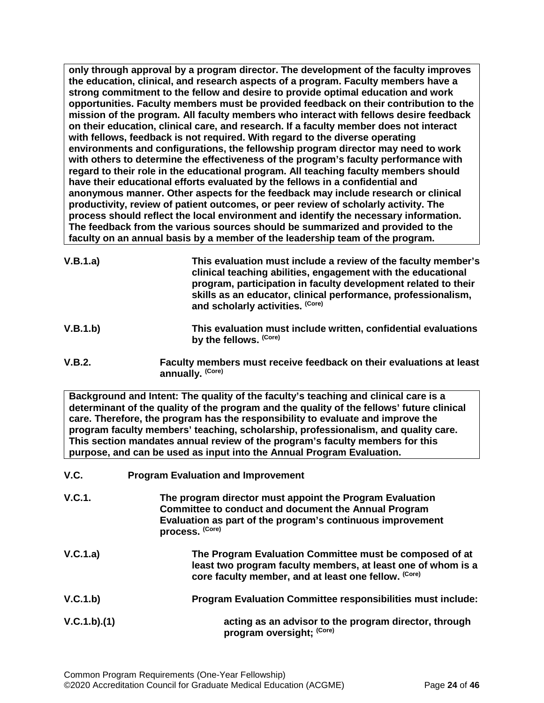**only through approval by a program director. The development of the faculty improves the education, clinical, and research aspects of a program. Faculty members have a strong commitment to the fellow and desire to provide optimal education and work opportunities. Faculty members must be provided feedback on their contribution to the mission of the program. All faculty members who interact with fellows desire feedback on their education, clinical care, and research. If a faculty member does not interact with fellows, feedback is not required. With regard to the diverse operating environments and configurations, the fellowship program director may need to work with others to determine the effectiveness of the program's faculty performance with regard to their role in the educational program. All teaching faculty members should have their educational efforts evaluated by the fellows in a confidential and anonymous manner. Other aspects for the feedback may include research or clinical productivity, review of patient outcomes, or peer review of scholarly activity. The process should reflect the local environment and identify the necessary information. The feedback from the various sources should be summarized and provided to the faculty on an annual basis by a member of the leadership team of the program.**

- **V.B.1.a) This evaluation must include a review of the faculty member's clinical teaching abilities, engagement with the educational program, participation in faculty development related to their skills as an educator, clinical performance, professionalism, and scholarly activities. (Core)**
- **V.B.1.b) This evaluation must include written, confidential evaluations by the fellows. (Core)**
- **V.B.2. Faculty members must receive feedback on their evaluations at least annually. (Core)**

**Background and Intent: The quality of the faculty's teaching and clinical care is a determinant of the quality of the program and the quality of the fellows' future clinical care. Therefore, the program has the responsibility to evaluate and improve the program faculty members' teaching, scholarship, professionalism, and quality care. This section mandates annual review of the program's faculty members for this purpose, and can be used as input into the Annual Program Evaluation.**

<span id="page-23-0"></span>

| V.C.        | <b>Program Evaluation and Improvement</b>                                                                                                                                                                |
|-------------|----------------------------------------------------------------------------------------------------------------------------------------------------------------------------------------------------------|
| V.C.1.      | The program director must appoint the Program Evaluation<br><b>Committee to conduct and document the Annual Program</b><br>Evaluation as part of the program's continuous improvement<br>process. (Core) |
| V.C.1.a)    | The Program Evaluation Committee must be composed of at<br>least two program faculty members, at least one of whom is a<br>core faculty member, and at least one fellow. (Core)                          |
| V.C.1.b)    | Program Evaluation Committee responsibilities must include:                                                                                                                                              |
| V.C.1.b)(1) | acting as an advisor to the program director, through<br>program oversight; (Core)                                                                                                                       |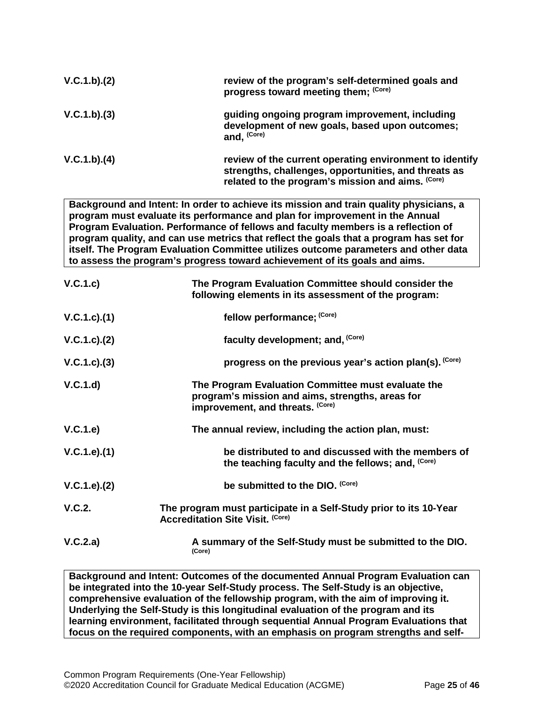| V.C.1.b)(2) | review of the program's self-determined goals and<br>progress toward meeting them; (Core)                                                                            |
|-------------|----------------------------------------------------------------------------------------------------------------------------------------------------------------------|
| V.C.1.b)(3) | guiding ongoing program improvement, including<br>development of new goals, based upon outcomes;<br>and, (Core)                                                      |
| V.C.1.b)(4) | review of the current operating environment to identify<br>strengths, challenges, opportunities, and threats as<br>related to the program's mission and aims. (Core) |

**Background and Intent: In order to achieve its mission and train quality physicians, a program must evaluate its performance and plan for improvement in the Annual Program Evaluation. Performance of fellows and faculty members is a reflection of program quality, and can use metrics that reflect the goals that a program has set for itself. The Program Evaluation Committee utilizes outcome parameters and other data to assess the program's progress toward achievement of its goals and aims.**

| V.C.1.c)        | The Program Evaluation Committee should consider the<br>following elements in its assessment of the program:                               |
|-----------------|--------------------------------------------------------------------------------------------------------------------------------------------|
| V.C.1.c).(1)    | fellow performance; (Core)                                                                                                                 |
| V.C.1.c). (2)   | faculty development; and, (Core)                                                                                                           |
| $V.C.1.c).$ (3) | progress on the previous year's action plan(s). (Core)                                                                                     |
| V.C.1.d)        | The Program Evaluation Committee must evaluate the<br>program's mission and aims, strengths, areas for<br>improvement, and threats. (Core) |
| V.C.1.e)        | The annual review, including the action plan, must:                                                                                        |
| V.C.1.e).(1)    | be distributed to and discussed with the members of<br>the teaching faculty and the fellows; and, (Core)                                   |
| V.C.1.e). (2)   | be submitted to the DIO. (Core)                                                                                                            |
| V.C.2.          | The program must participate in a Self-Study prior to its 10-Year<br><b>Accreditation Site Visit. (Core)</b>                               |
| V.C.2.a)        | A summary of the Self-Study must be submitted to the DIO.<br>(Core)                                                                        |

**Background and Intent: Outcomes of the documented Annual Program Evaluation can be integrated into the 10-year Self-Study process. The Self-Study is an objective, comprehensive evaluation of the fellowship program, with the aim of improving it. Underlying the Self-Study is this longitudinal evaluation of the program and its learning environment, facilitated through sequential Annual Program Evaluations that focus on the required components, with an emphasis on program strengths and self-**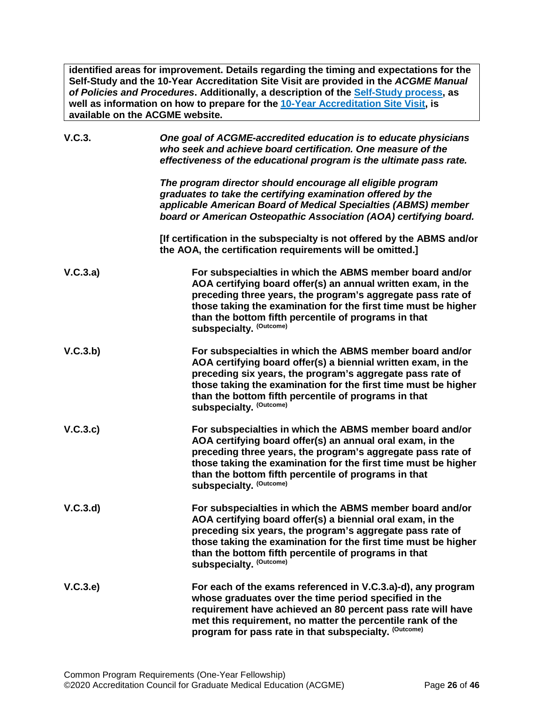**identified areas for improvement. Details regarding the timing and expectations for the Self-Study and the 10-Year Accreditation Site Visit are provided in the** *ACGME Manual of Policies and Procedures***. Additionally, a description of the [Self-Study process,](http://acgme.org/What-We-Do/Accreditation/Self-Study) as well as information on how to prepare for the [10-Year Accreditation Site Visit,](http://www.acgme.org/What-We-Do/Accreditation/Site-Visit/Eight-Steps-to-Prepare-for-the-10-Year-Accreditation-Site-Visit) is available on the ACGME website.**

| V.C.3.   | One goal of ACGME-accredited education is to educate physicians<br>who seek and achieve board certification. One measure of the<br>effectiveness of the educational program is the ultimate pass rate.                                                                                                                                           |
|----------|--------------------------------------------------------------------------------------------------------------------------------------------------------------------------------------------------------------------------------------------------------------------------------------------------------------------------------------------------|
|          | The program director should encourage all eligible program<br>graduates to take the certifying examination offered by the<br>applicable American Board of Medical Specialties (ABMS) member<br>board or American Osteopathic Association (AOA) certifying board.                                                                                 |
|          | [If certification in the subspecialty is not offered by the ABMS and/or<br>the AOA, the certification requirements will be omitted.]                                                                                                                                                                                                             |
| V.C.3.a) | For subspecialties in which the ABMS member board and/or<br>AOA certifying board offer(s) an annual written exam, in the<br>preceding three years, the program's aggregate pass rate of<br>those taking the examination for the first time must be higher<br>than the bottom fifth percentile of programs in that<br>subspecialty. (Outcome)     |
| V.C.3.b) | For subspecialties in which the ABMS member board and/or<br>AOA certifying board offer(s) a biennial written exam, in the<br>preceding six years, the program's aggregate pass rate of<br>those taking the examination for the first time must be higher<br>than the bottom fifth percentile of programs in that<br>subspecialty. (Outcome)      |
| V.C.3.c) | For subspecialties in which the ABMS member board and/or<br>AOA certifying board offer(s) an annual oral exam, in the<br>preceding three years, the program's aggregate pass rate of<br>those taking the examination for the first time must be higher<br>than the bottom fifth percentile of programs in that<br><b>subspecialty. (Outcome)</b> |
| V.C.3.d  | For subspecialties in which the ABMS member board and/or<br>AOA certifying board offer(s) a biennial oral exam, in the<br>preceding six years, the program's aggregate pass rate of<br>those taking the examination for the first time must be higher<br>than the bottom fifth percentile of programs in that<br><b>subspecialty. (Outcome)</b>  |
| V.C.3.e) | For each of the exams referenced in V.C.3.a)-d), any program<br>whose graduates over the time period specified in the<br>requirement have achieved an 80 percent pass rate will have<br>met this requirement, no matter the percentile rank of the<br>program for pass rate in that subspecialty. (Outcome)                                      |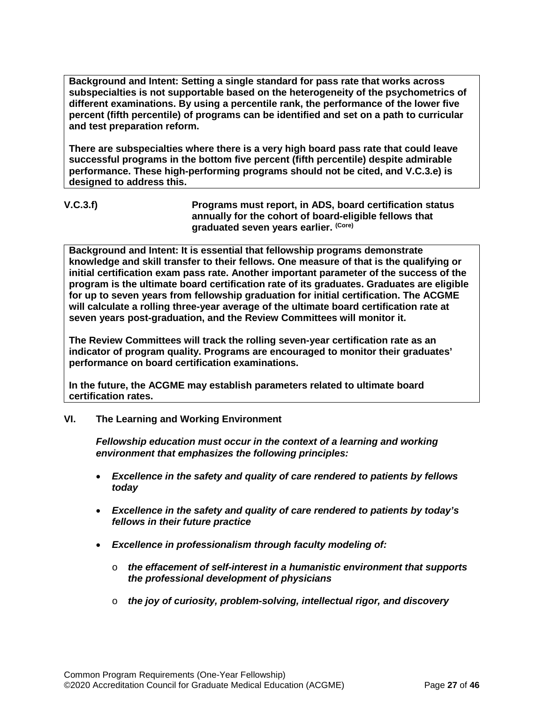**Background and Intent: Setting a single standard for pass rate that works across subspecialties is not supportable based on the heterogeneity of the psychometrics of different examinations. By using a percentile rank, the performance of the lower five percent (fifth percentile) of programs can be identified and set on a path to curricular and test preparation reform.**

**There are subspecialties where there is a very high board pass rate that could leave successful programs in the bottom five percent (fifth percentile) despite admirable performance. These high-performing programs should not be cited, and V.C.3.e) is designed to address this.**

**V.C.3.f) Programs must report, in ADS, board certification status annually for the cohort of board-eligible fellows that graduated seven years earlier. (Core)**

**Background and Intent: It is essential that fellowship programs demonstrate knowledge and skill transfer to their fellows. One measure of that is the qualifying or initial certification exam pass rate. Another important parameter of the success of the program is the ultimate board certification rate of its graduates. Graduates are eligible for up to seven years from fellowship graduation for initial certification. The ACGME will calculate a rolling three-year average of the ultimate board certification rate at seven years post-graduation, and the Review Committees will monitor it.**

**The Review Committees will track the rolling seven-year certification rate as an indicator of program quality. Programs are encouraged to monitor their graduates' performance on board certification examinations.**

**In the future, the ACGME may establish parameters related to ultimate board certification rates.**

## <span id="page-26-0"></span>**VI. The Learning and Working Environment**

*Fellowship education must occur in the context of a learning and working environment that emphasizes the following principles:*

- *Excellence in the safety and quality of care rendered to patients by fellows today*
- *Excellence in the safety and quality of care rendered to patients by today's fellows in their future practice*
- *Excellence in professionalism through faculty modeling of:*
	- o *the effacement of self-interest in a humanistic environment that supports the professional development of physicians*
	- o *the joy of curiosity, problem-solving, intellectual rigor, and discovery*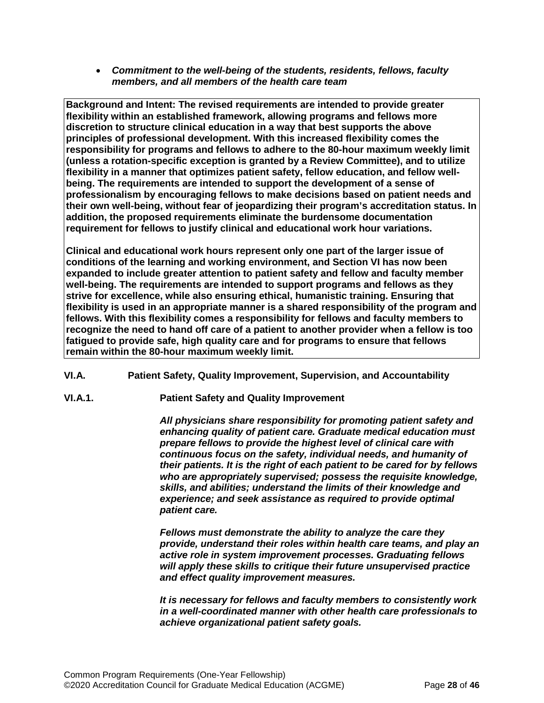• *Commitment to the well-being of the students, residents, fellows, faculty members, and all members of the health care team*

**Background and Intent: The revised requirements are intended to provide greater flexibility within an established framework, allowing programs and fellows more discretion to structure clinical education in a way that best supports the above principles of professional development. With this increased flexibility comes the responsibility for programs and fellows to adhere to the 80-hour maximum weekly limit (unless a rotation-specific exception is granted by a Review Committee), and to utilize flexibility in a manner that optimizes patient safety, fellow education, and fellow wellbeing. The requirements are intended to support the development of a sense of professionalism by encouraging fellows to make decisions based on patient needs and their own well-being, without fear of jeopardizing their program's accreditation status. In addition, the proposed requirements eliminate the burdensome documentation requirement for fellows to justify clinical and educational work hour variations.**

**Clinical and educational work hours represent only one part of the larger issue of conditions of the learning and working environment, and Section VI has now been expanded to include greater attention to patient safety and fellow and faculty member well-being. The requirements are intended to support programs and fellows as they strive for excellence, while also ensuring ethical, humanistic training. Ensuring that flexibility is used in an appropriate manner is a shared responsibility of the program and fellows. With this flexibility comes a responsibility for fellows and faculty members to recognize the need to hand off care of a patient to another provider when a fellow is too fatigued to provide safe, high quality care and for programs to ensure that fellows remain within the 80-hour maximum weekly limit.**

- <span id="page-27-0"></span>**VI.A. Patient Safety, Quality Improvement, Supervision, and Accountability**
- **VI.A.1. Patient Safety and Quality Improvement**

*All physicians share responsibility for promoting patient safety and enhancing quality of patient care. Graduate medical education must prepare fellows to provide the highest level of clinical care with continuous focus on the safety, individual needs, and humanity of their patients. It is the right of each patient to be cared for by fellows who are appropriately supervised; possess the requisite knowledge, skills, and abilities; understand the limits of their knowledge and experience; and seek assistance as required to provide optimal patient care.*

*Fellows must demonstrate the ability to analyze the care they provide, understand their roles within health care teams, and play an active role in system improvement processes. Graduating fellows will apply these skills to critique their future unsupervised practice and effect quality improvement measures.*

*It is necessary for fellows and faculty members to consistently work in a well-coordinated manner with other health care professionals to achieve organizational patient safety goals.*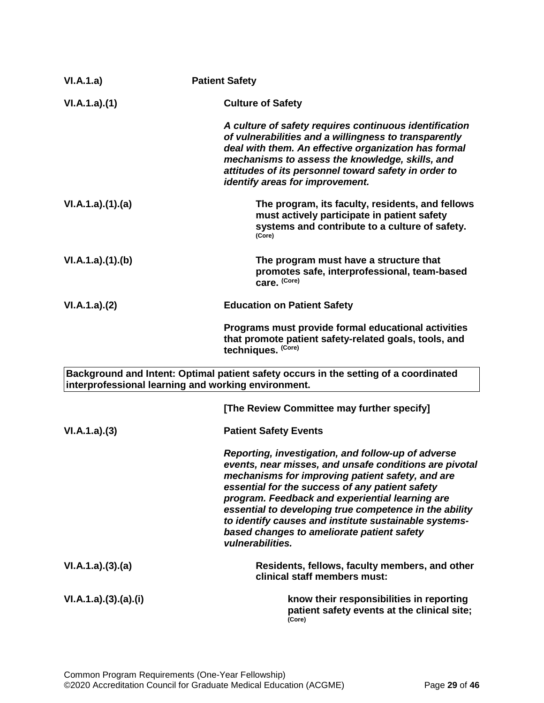| VI.A.1.a)          | <b>Patient Safety</b>                                                                                                                                                                                                                                                                                                                                                                                                                                       |
|--------------------|-------------------------------------------------------------------------------------------------------------------------------------------------------------------------------------------------------------------------------------------------------------------------------------------------------------------------------------------------------------------------------------------------------------------------------------------------------------|
| VI.A.1.a)(1)       | <b>Culture of Safety</b>                                                                                                                                                                                                                                                                                                                                                                                                                                    |
|                    | A culture of safety requires continuous identification<br>of vulnerabilities and a willingness to transparently<br>deal with them. An effective organization has formal<br>mechanisms to assess the knowledge, skills, and<br>attitudes of its personnel toward safety in order to<br>identify areas for improvement.                                                                                                                                       |
| VI.A.1.a)(1)(a)    | The program, its faculty, residents, and fellows<br>must actively participate in patient safety<br>systems and contribute to a culture of safety.<br>(Core)                                                                                                                                                                                                                                                                                                 |
| VI.A.1.a)(1)(b)    | The program must have a structure that<br>promotes safe, interprofessional, team-based<br>care. (Core)                                                                                                                                                                                                                                                                                                                                                      |
| VI.A.1.a)(2)       | <b>Education on Patient Safety</b>                                                                                                                                                                                                                                                                                                                                                                                                                          |
|                    | Programs must provide formal educational activities<br>that promote patient safety-related goals, tools, and<br>techniques. (Core)                                                                                                                                                                                                                                                                                                                          |
|                    | Background and Intent: Optimal patient safety occurs in the setting of a coordinated<br>interprofessional learning and working environment.                                                                                                                                                                                                                                                                                                                 |
|                    | [The Review Committee may further specify]                                                                                                                                                                                                                                                                                                                                                                                                                  |
| VI.A.1.a)(3)       | <b>Patient Safety Events</b>                                                                                                                                                                                                                                                                                                                                                                                                                                |
|                    | Reporting, investigation, and follow-up of adverse<br>events, near misses, and unsafe conditions are pivotal<br>mechanisms for improving patient safety, and are<br>essential for the success of any patient safety<br>program. Feedback and experiential learning are<br>essential to developing true competence in the ability<br>to identify causes and institute sustainable systems-<br>based changes to ameliorate patient safety<br>vulnerabilities. |
| VI.A.1.a)(3)(a)    | Residents, fellows, faculty members, and other<br>clinical staff members must:                                                                                                                                                                                                                                                                                                                                                                              |
| VI.A.1.a)(3)(a)(i) | know their responsibilities in reporting<br>patient safety events at the clinical site;<br>(Core)                                                                                                                                                                                                                                                                                                                                                           |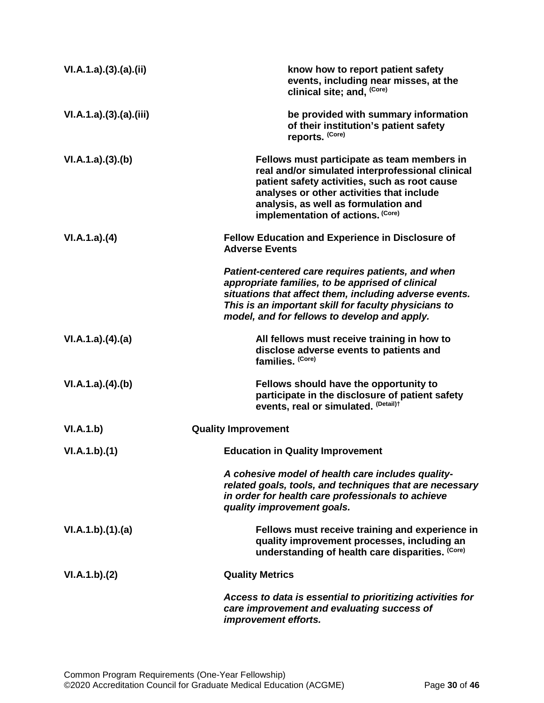| VI.A.1.a)(3)(a)(ii)  | know how to report patient safety<br>events, including near misses, at the<br>clinical site; and, (Core)                                                                                                                                                                   |
|----------------------|----------------------------------------------------------------------------------------------------------------------------------------------------------------------------------------------------------------------------------------------------------------------------|
| VI.A.1.a)(3)(a)(iii) | be provided with summary information<br>of their institution's patient safety<br>reports. (Core)                                                                                                                                                                           |
| VI.A.1.a)(3)(b)      | Fellows must participate as team members in<br>real and/or simulated interprofessional clinical<br>patient safety activities, such as root cause<br>analyses or other activities that include<br>analysis, as well as formulation and<br>implementation of actions. (Core) |
| VI.A.1.a)(4)         | <b>Fellow Education and Experience in Disclosure of</b><br><b>Adverse Events</b>                                                                                                                                                                                           |
|                      | Patient-centered care requires patients, and when<br>appropriate families, to be apprised of clinical<br>situations that affect them, including adverse events.<br>This is an important skill for faculty physicians to<br>model, and for fellows to develop and apply.    |
| VI.A.1.a)(4)(a)      | All fellows must receive training in how to<br>disclose adverse events to patients and<br>families. (Core)                                                                                                                                                                 |
| VI.A.1.a)(4)(b)      | Fellows should have the opportunity to<br>participate in the disclosure of patient safety<br>events, real or simulated. (Detail)t                                                                                                                                          |
| VI.A.1.b)            | <b>Quality Improvement</b>                                                                                                                                                                                                                                                 |
| VI.A.1.b)(1)         | <b>Education in Quality Improvement</b>                                                                                                                                                                                                                                    |
|                      | A cohesive model of health care includes quality-<br>related goals, tools, and techniques that are necessary<br>in order for health care professionals to achieve<br>quality improvement goals.                                                                            |
| VI.A.1.b)(1)(a)      | Fellows must receive training and experience in<br>quality improvement processes, including an<br>understanding of health care disparities. (Core)                                                                                                                         |
| VI.A.1.b)(2)         | <b>Quality Metrics</b>                                                                                                                                                                                                                                                     |
|                      | Access to data is essential to prioritizing activities for<br>care improvement and evaluating success of<br>improvement efforts.                                                                                                                                           |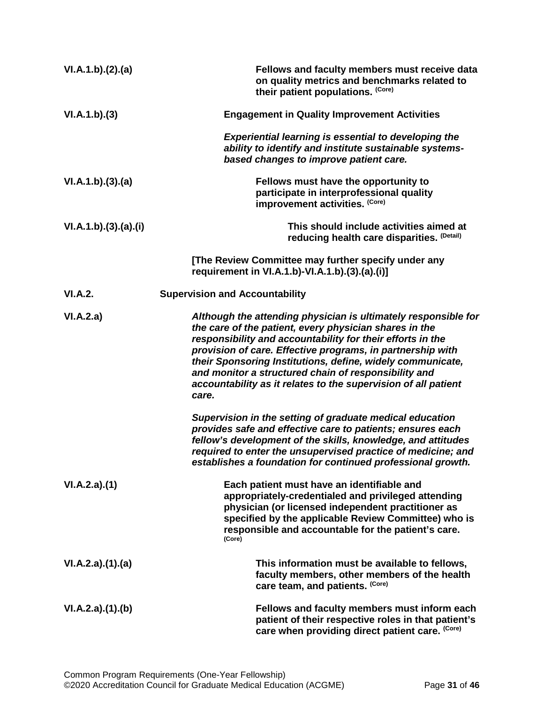| VI.A.1.b)(2).(a)     | Fellows and faculty members must receive data<br>on quality metrics and benchmarks related to<br>their patient populations. (Core)                                                                                                                                                                                                                                                                                                                    |
|----------------------|-------------------------------------------------------------------------------------------------------------------------------------------------------------------------------------------------------------------------------------------------------------------------------------------------------------------------------------------------------------------------------------------------------------------------------------------------------|
| VI.A.1.b)(3)         | <b>Engagement in Quality Improvement Activities</b>                                                                                                                                                                                                                                                                                                                                                                                                   |
|                      | <b>Experiential learning is essential to developing the</b><br>ability to identify and institute sustainable systems-<br>based changes to improve patient care.                                                                                                                                                                                                                                                                                       |
| VI.A.1.b)(3).(a)     | Fellows must have the opportunity to<br>participate in interprofessional quality<br>improvement activities. (Core)                                                                                                                                                                                                                                                                                                                                    |
| VI.A.1.b)(3).(a).(i) | This should include activities aimed at<br>reducing health care disparities. (Detail)                                                                                                                                                                                                                                                                                                                                                                 |
|                      | [The Review Committee may further specify under any<br>requirement in VI.A.1.b)-VI.A.1.b).(3).(a).(i)]                                                                                                                                                                                                                                                                                                                                                |
| VI.A.2.              | <b>Supervision and Accountability</b>                                                                                                                                                                                                                                                                                                                                                                                                                 |
| VI.A.2.a)            | Although the attending physician is ultimately responsible for<br>the care of the patient, every physician shares in the<br>responsibility and accountability for their efforts in the<br>provision of care. Effective programs, in partnership with<br>their Sponsoring Institutions, define, widely communicate,<br>and monitor a structured chain of responsibility and<br>accountability as it relates to the supervision of all patient<br>care. |
|                      | Supervision in the setting of graduate medical education<br>provides safe and effective care to patients; ensures each<br>fellow's development of the skills, knowledge, and attitudes<br>required to enter the unsupervised practice of medicine; and<br>establishes a foundation for continued professional growth.                                                                                                                                 |
| VI.A.2.a)(1)         | Each patient must have an identifiable and<br>appropriately-credentialed and privileged attending<br>physician (or licensed independent practitioner as<br>specified by the applicable Review Committee) who is<br>responsible and accountable for the patient's care.<br>(Core)                                                                                                                                                                      |
| VI.A.2.a)(1).(a)     | This information must be available to fellows,<br>faculty members, other members of the health<br>care team, and patients. (Core)                                                                                                                                                                                                                                                                                                                     |
| VI.A.2.a)(1).(b)     | Fellows and faculty members must inform each<br>patient of their respective roles in that patient's<br>care when providing direct patient care. (Core)                                                                                                                                                                                                                                                                                                |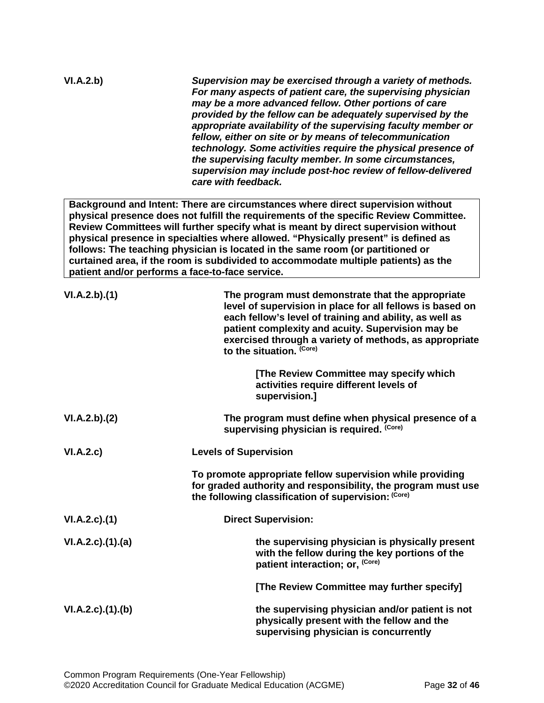| VI.A.2.b)          | Supervision may be exercised through a variety of methods.<br>For many aspects of patient care, the supervising physician<br>may be a more advanced fellow. Other portions of care<br>provided by the fellow can be adequately supervised by the<br>appropriate availability of the supervising faculty member or<br>fellow, either on site or by means of telecommunication<br>technology. Some activities require the physical presence of<br>the supervising faculty member. In some circumstances,<br>supervision may include post-hoc review of fellow-delivered<br>care with feedback. |
|--------------------|----------------------------------------------------------------------------------------------------------------------------------------------------------------------------------------------------------------------------------------------------------------------------------------------------------------------------------------------------------------------------------------------------------------------------------------------------------------------------------------------------------------------------------------------------------------------------------------------|
|                    | Background and Intent: There are circumstances where direct supervision without<br>physical presence does not fulfill the requirements of the specific Review Committee.<br>Review Committees will further specify what is meant by direct supervision without<br>physical presence in specialties where allowed. "Physically present" is defined as<br>follows: The teaching physician is located in the same room (or partitioned or<br>curtained area, if the room is subdivided to accommodate multiple patients) as the<br>patient and/or performs a face-to-face service.              |
| VI.A.2.b)(1)       | The program must demonstrate that the appropriate<br>level of supervision in place for all fellows is based on<br>each fellow's level of training and ability, as well as<br>patient complexity and acuity. Supervision may be<br>exercised through a variety of methods, as appropriate<br>to the situation. (Core)                                                                                                                                                                                                                                                                         |
|                    | [The Review Committee may specify which<br>activities require different levels of<br>supervision.]                                                                                                                                                                                                                                                                                                                                                                                                                                                                                           |
| VI.A.2.b)(2)       | The program must define when physical presence of a<br>supervising physician is required. (Core)                                                                                                                                                                                                                                                                                                                                                                                                                                                                                             |
| VI.A.2.c)          | <b>Levels of Supervision</b>                                                                                                                                                                                                                                                                                                                                                                                                                                                                                                                                                                 |
|                    | To promote appropriate fellow supervision while providing<br>for graded authority and responsibility, the program must use<br>the following classification of supervision: (Core)                                                                                                                                                                                                                                                                                                                                                                                                            |
| $VI.A.2.c$ . $(1)$ | <b>Direct Supervision:</b>                                                                                                                                                                                                                                                                                                                                                                                                                                                                                                                                                                   |
| VI.A.2.c)(1).(a)   | the supervising physician is physically present<br>with the fellow during the key portions of the<br>patient interaction; or, (Core)                                                                                                                                                                                                                                                                                                                                                                                                                                                         |
|                    | [The Review Committee may further specify]                                                                                                                                                                                                                                                                                                                                                                                                                                                                                                                                                   |
| VI.A.2.c)(1)(b)    | the supervising physician and/or patient is not<br>physically present with the fellow and the<br>supervising physician is concurrently                                                                                                                                                                                                                                                                                                                                                                                                                                                       |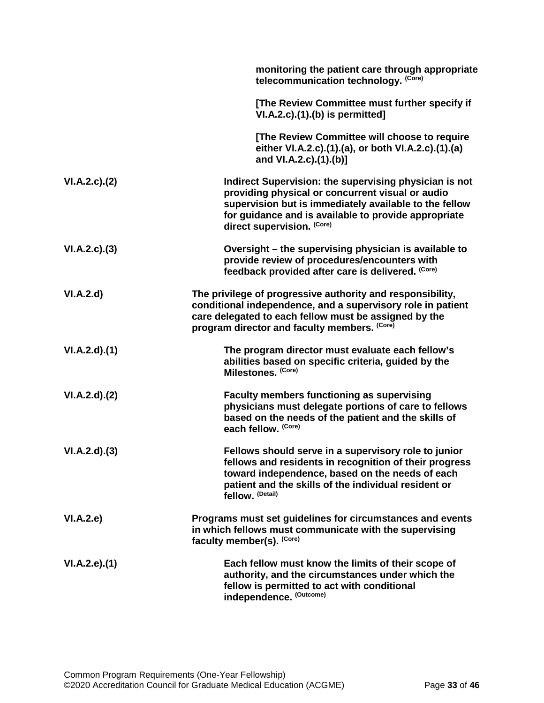|              | monitoring the patient care through appropriate<br>telecommunication technology. (Core)                                                                                                                                                                    |
|--------------|------------------------------------------------------------------------------------------------------------------------------------------------------------------------------------------------------------------------------------------------------------|
|              | [The Review Committee must further specify if<br>$VI.A.2.c$ . $(1).$ (b) is permitted]                                                                                                                                                                     |
|              | [The Review Committee will choose to require<br>either VI.A.2.c).(1).(a), or both VI.A.2.c).(1).(a)<br>and VI.A.2.c).(1).(b)]                                                                                                                              |
| VI.A.2.c.2() | Indirect Supervision: the supervising physician is not<br>providing physical or concurrent visual or audio<br>supervision but is immediately available to the fellow<br>for guidance and is available to provide appropriate<br>direct supervision. (Core) |
| VI.A.2.c.(3) | Oversight – the supervising physician is available to<br>provide review of procedures/encounters with<br>feedback provided after care is delivered. (Core)                                                                                                 |
| VI.A.2.d     | The privilege of progressive authority and responsibility,<br>conditional independence, and a supervisory role in patient<br>care delegated to each fellow must be assigned by the<br>program director and faculty members. (Core)                         |
| VI.A.2.d)(1) | The program director must evaluate each fellow's<br>abilities based on specific criteria, guided by the<br>Milestones. (Core)                                                                                                                              |
| VI.A.2.d)(2) | <b>Faculty members functioning as supervising</b><br>physicians must delegate portions of care to fellows<br>based on the needs of the patient and the skills of<br>each fellow. (Core)                                                                    |
| VI.A.2.d)(3) | Fellows should serve in a supervisory role to junior<br>fellows and residents in recognition of their progress<br>toward independence, based on the needs of each<br>patient and the skills of the individual resident or<br>fellow. (Detail)              |
| VI.A.2.e     | Programs must set guidelines for circumstances and events<br>in which fellows must communicate with the supervising<br>faculty member(s). (Core)                                                                                                           |
| VI.A.2.e.(1) | Each fellow must know the limits of their scope of<br>authority, and the circumstances under which the<br>fellow is permitted to act with conditional<br>independence. (Outcome)                                                                           |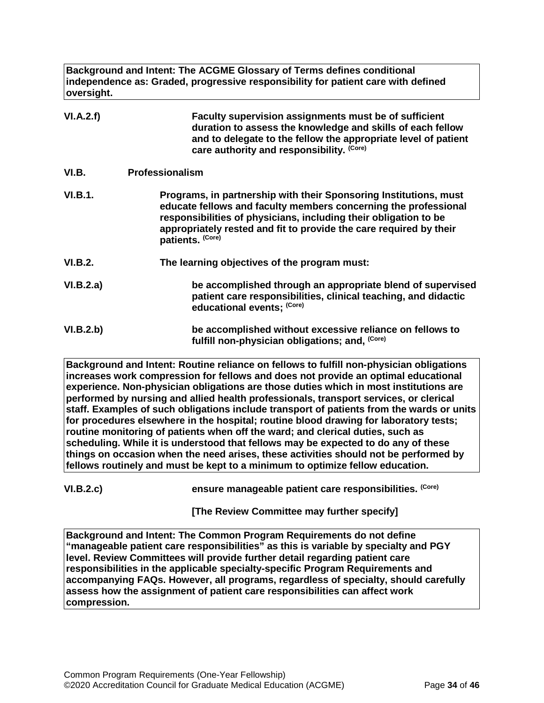**Background and Intent: The ACGME Glossary of Terms defines conditional independence as: Graded, progressive responsibility for patient care with defined oversight.**

<span id="page-33-0"></span>

| VI.A.2.f)      | Faculty supervision assignments must be of sufficient<br>duration to assess the knowledge and skills of each fellow<br>and to delegate to the fellow the appropriate level of patient<br>care authority and responsibility. (Core)                                                                 |
|----------------|----------------------------------------------------------------------------------------------------------------------------------------------------------------------------------------------------------------------------------------------------------------------------------------------------|
| VI.B.          | <b>Professionalism</b>                                                                                                                                                                                                                                                                             |
| <b>VI.B.1.</b> | Programs, in partnership with their Sponsoring Institutions, must<br>educate fellows and faculty members concerning the professional<br>responsibilities of physicians, including their obligation to be<br>appropriately rested and fit to provide the care required by their<br>patients. (Core) |
| <b>VI.B.2.</b> | The learning objectives of the program must:                                                                                                                                                                                                                                                       |
| VI.B.2.a)      | be accomplished through an appropriate blend of supervised<br>patient care responsibilities, clinical teaching, and didactic<br>educational events; (Core)                                                                                                                                         |
| VI.B.2.b)      | be accomplished without excessive reliance on fellows to<br>fulfill non-physician obligations; and, (Core)                                                                                                                                                                                         |

**Background and Intent: Routine reliance on fellows to fulfill non-physician obligations increases work compression for fellows and does not provide an optimal educational experience. Non-physician obligations are those duties which in most institutions are performed by nursing and allied health professionals, transport services, or clerical staff. Examples of such obligations include transport of patients from the wards or units for procedures elsewhere in the hospital; routine blood drawing for laboratory tests; routine monitoring of patients when off the ward; and clerical duties, such as scheduling. While it is understood that fellows may be expected to do any of these things on occasion when the need arises, these activities should not be performed by fellows routinely and must be kept to a minimum to optimize fellow education.**

**VI.B.2.c) ensure manageable patient care responsibilities. (Core)**

**[The Review Committee may further specify]**

**Background and Intent: The Common Program Requirements do not define "manageable patient care responsibilities" as this is variable by specialty and PGY level. Review Committees will provide further detail regarding patient care responsibilities in the applicable specialty-specific Program Requirements and accompanying FAQs. However, all programs, regardless of specialty, should carefully assess how the assignment of patient care responsibilities can affect work compression.**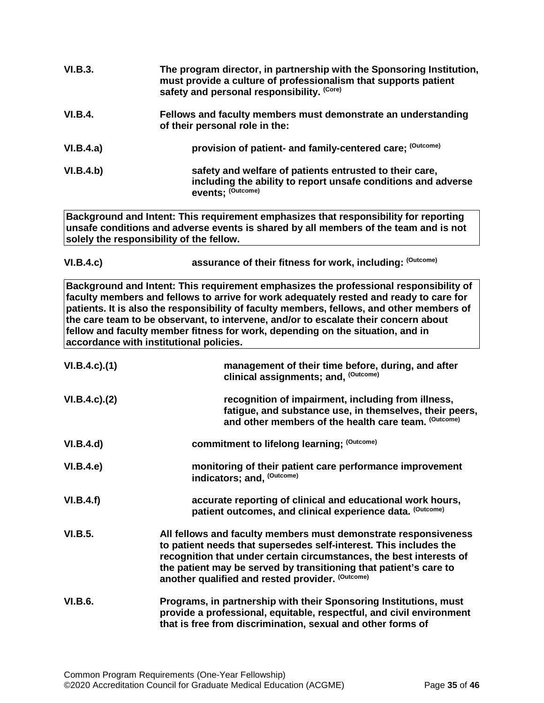| VI.B.3.        | The program director, in partnership with the Sponsoring Institution,<br>must provide a culture of professionalism that supports patient<br>safety and personal responsibility. (Core)                                                                                                                                                                                                                                                                                                           |
|----------------|--------------------------------------------------------------------------------------------------------------------------------------------------------------------------------------------------------------------------------------------------------------------------------------------------------------------------------------------------------------------------------------------------------------------------------------------------------------------------------------------------|
| <b>VI.B.4.</b> | Fellows and faculty members must demonstrate an understanding<br>of their personal role in the:                                                                                                                                                                                                                                                                                                                                                                                                  |
| VI.B.4.a)      | provision of patient- and family-centered care; (Outcome)                                                                                                                                                                                                                                                                                                                                                                                                                                        |
| VI.B.4.b)      | safety and welfare of patients entrusted to their care,<br>including the ability to report unsafe conditions and adverse<br>events; (Outcome)                                                                                                                                                                                                                                                                                                                                                    |
|                | Background and Intent: This requirement emphasizes that responsibility for reporting<br>unsafe conditions and adverse events is shared by all members of the team and is not<br>solely the responsibility of the fellow.                                                                                                                                                                                                                                                                         |
| VI.B.4.c)      | assurance of their fitness for work, including: (Outcome)                                                                                                                                                                                                                                                                                                                                                                                                                                        |
|                | Background and Intent: This requirement emphasizes the professional responsibility of<br>faculty members and fellows to arrive for work adequately rested and ready to care for<br>patients. It is also the responsibility of faculty members, fellows, and other members of<br>the care team to be observant, to intervene, and/or to escalate their concern about<br>fellow and faculty member fitness for work, depending on the situation, and in<br>accordance with institutional policies. |

| $VI.B.4.c.$ (1) | management of their time before, during, and after<br>clinical assignments; and, (Outcome)                                                                                                                                                                                                                                           |
|-----------------|--------------------------------------------------------------------------------------------------------------------------------------------------------------------------------------------------------------------------------------------------------------------------------------------------------------------------------------|
| VI.B.4.c). (2)  | recognition of impairment, including from illness,<br>fatigue, and substance use, in themselves, their peers,<br>and other members of the health care team. (Outcome)                                                                                                                                                                |
| VI.B.4.d)       | commitment to lifelong learning; (Outcome)                                                                                                                                                                                                                                                                                           |
| VI.B.4.e)       | monitoring of their patient care performance improvement<br>indicators; and, (Outcome)                                                                                                                                                                                                                                               |
| VI.B.4.f)       | accurate reporting of clinical and educational work hours,<br>patient outcomes, and clinical experience data. (Outcome)                                                                                                                                                                                                              |
| <b>VI.B.5.</b>  | All fellows and faculty members must demonstrate responsiveness<br>to patient needs that supersedes self-interest. This includes the<br>recognition that under certain circumstances, the best interests of<br>the patient may be served by transitioning that patient's care to<br>another qualified and rested provider. (Outcome) |
| <b>VI.B.6.</b>  | Programs, in partnership with their Sponsoring Institutions, must<br>provide a professional, equitable, respectful, and civil environment<br>that is free from discrimination, sexual and other forms of                                                                                                                             |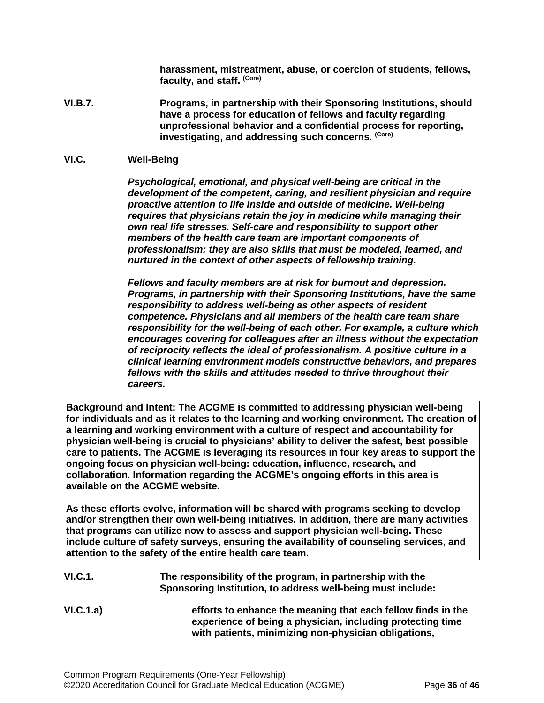**harassment, mistreatment, abuse, or coercion of students, fellows, faculty, and staff. (Core)**

**VI.B.7. Programs, in partnership with their Sponsoring Institutions, should have a process for education of fellows and faculty regarding unprofessional behavior and a confidential process for reporting, investigating, and addressing such concerns. (Core)**

#### <span id="page-35-0"></span>**VI.C. Well-Being**

*Psychological, emotional, and physical well-being are critical in the development of the competent, caring, and resilient physician and require proactive attention to life inside and outside of medicine. Well-being requires that physicians retain the joy in medicine while managing their own real life stresses. Self-care and responsibility to support other members of the health care team are important components of professionalism; they are also skills that must be modeled, learned, and nurtured in the context of other aspects of fellowship training.*

*Fellows and faculty members are at risk for burnout and depression. Programs, in partnership with their Sponsoring Institutions, have the same responsibility to address well-being as other aspects of resident competence. Physicians and all members of the health care team share responsibility for the well-being of each other. For example, a culture which encourages covering for colleagues after an illness without the expectation of reciprocity reflects the ideal of professionalism. A positive culture in a clinical learning environment models constructive behaviors, and prepares fellows with the skills and attitudes needed to thrive throughout their careers.*

**Background and Intent: The ACGME is committed to addressing physician well-being for individuals and as it relates to the learning and working environment. The creation of a learning and working environment with a culture of respect and accountability for physician well-being is crucial to physicians' ability to deliver the safest, best possible care to patients. The ACGME is leveraging its resources in four key areas to support the ongoing focus on physician well-being: education, influence, research, and collaboration. Information regarding the ACGME's ongoing efforts in this area is available on the ACGME website.**

**As these efforts evolve, information will be shared with programs seeking to develop and/or strengthen their own well-being initiatives. In addition, there are many activities that programs can utilize now to assess and support physician well-being. These include culture of safety surveys, ensuring the availability of counseling services, and attention to the safety of the entire health care team.**

- **VI.C.1. The responsibility of the program, in partnership with the Sponsoring Institution, to address well-being must include:**
- **VI.C.1.a) efforts to enhance the meaning that each fellow finds in the experience of being a physician, including protecting time with patients, minimizing non-physician obligations,**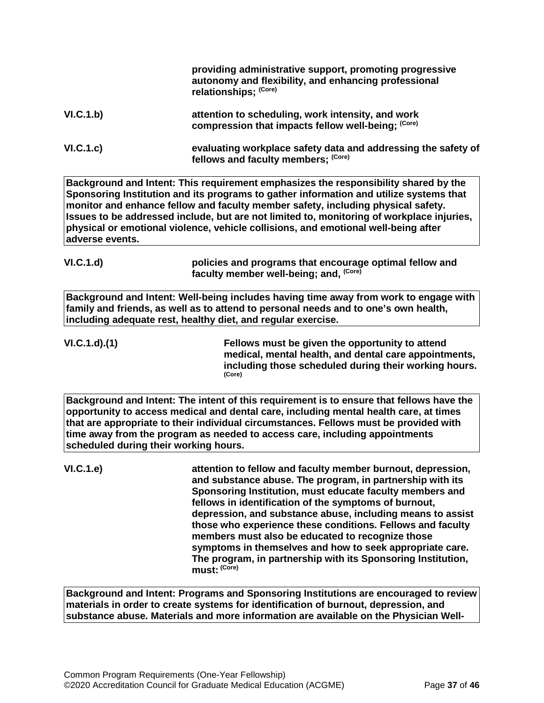|                                       | providing administrative support, promoting progressive<br>autonomy and flexibility, and enhancing professional<br>relationships; (Core)                                                                                                                                                                                                                                                                                                                                                                                                                                  |
|---------------------------------------|---------------------------------------------------------------------------------------------------------------------------------------------------------------------------------------------------------------------------------------------------------------------------------------------------------------------------------------------------------------------------------------------------------------------------------------------------------------------------------------------------------------------------------------------------------------------------|
| VI.C.1.b)                             | attention to scheduling, work intensity, and work<br>compression that impacts fellow well-being; (Core)                                                                                                                                                                                                                                                                                                                                                                                                                                                                   |
| VI.C.1.c)                             | evaluating workplace safety data and addressing the safety of<br>fellows and faculty members; (Core)                                                                                                                                                                                                                                                                                                                                                                                                                                                                      |
| adverse events.                       | Background and Intent: This requirement emphasizes the responsibility shared by the<br>Sponsoring Institution and its programs to gather information and utilize systems that<br>monitor and enhance fellow and faculty member safety, including physical safety.<br>Issues to be addressed include, but are not limited to, monitoring of workplace injuries,<br>physical or emotional violence, vehicle collisions, and emotional well-being after                                                                                                                      |
| VI.C.1.d                              | policies and programs that encourage optimal fellow and<br>faculty member well-being; and, (Core)                                                                                                                                                                                                                                                                                                                                                                                                                                                                         |
|                                       | Background and Intent: Well-being includes having time away from work to engage with<br>family and friends, as well as to attend to personal needs and to one's own health,<br>including adequate rest, healthy diet, and regular exercise.                                                                                                                                                                                                                                                                                                                               |
| VI.C.1.d.(1)                          | Fellows must be given the opportunity to attend<br>medical, mental health, and dental care appointments,<br>including those scheduled during their working hours.<br>(Core)                                                                                                                                                                                                                                                                                                                                                                                               |
| scheduled during their working hours. | Background and Intent: The intent of this requirement is to ensure that fellows have the<br>opportunity to access medical and dental care, including mental health care, at times<br>that are appropriate to their individual circumstances. Fellows must be provided with<br>time away from the program as needed to access care, including appointments                                                                                                                                                                                                                 |
| VI.C.1.e)                             | attention to fellow and faculty member burnout, depression,<br>and substance abuse. The program, in partnership with its<br>Sponsoring Institution, must educate faculty members and<br>fellows in identification of the symptoms of burnout,<br>depression, and substance abuse, including means to assist<br>those who experience these conditions. Fellows and faculty<br>members must also be educated to recognize those<br>symptoms in themselves and how to seek appropriate care.<br>The program, in partnership with its Sponsoring Institution,<br>must: (Core) |
|                                       | Background and Intent: Programs and Sponsoring Institutions are encouraged to review<br>materials in order to create systems for identification of burnout, depression, and                                                                                                                                                                                                                                                                                                                                                                                               |

**substance abuse. Materials and more information are available on the Physician Well-**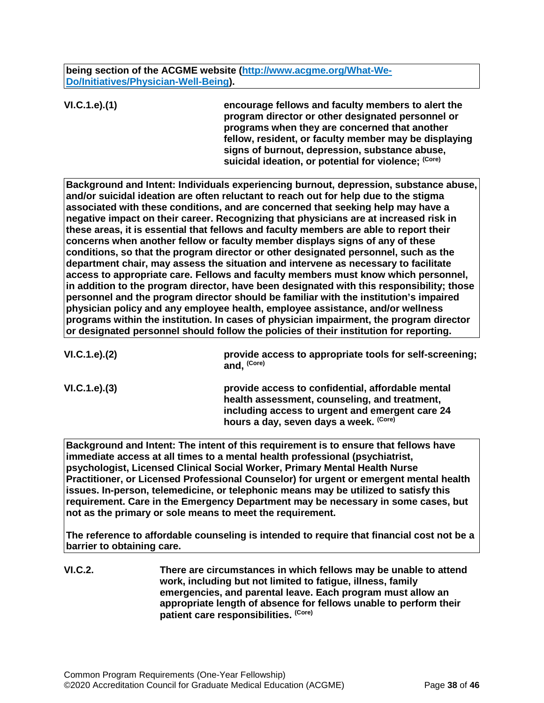**being section of the ACGME website [\(http://www.acgme.org/What-We-](http://www.acgme.org/What-We-Do/Initiatives/Physician-Well-Being)[Do/Initiatives/Physician-Well-Being\)](http://www.acgme.org/What-We-Do/Initiatives/Physician-Well-Being).**

**VI.C.1.e).(1) encourage fellows and faculty members to alert the program director or other designated personnel or programs when they are concerned that another fellow, resident, or faculty member may be displaying signs of burnout, depression, substance abuse,**  suicidal ideation, or potential for violence; (Core)

**Background and Intent: Individuals experiencing burnout, depression, substance abuse, and/or suicidal ideation are often reluctant to reach out for help due to the stigma associated with these conditions, and are concerned that seeking help may have a negative impact on their career. Recognizing that physicians are at increased risk in these areas, it is essential that fellows and faculty members are able to report their concerns when another fellow or faculty member displays signs of any of these conditions, so that the program director or other designated personnel, such as the department chair, may assess the situation and intervene as necessary to facilitate access to appropriate care. Fellows and faculty members must know which personnel, in addition to the program director, have been designated with this responsibility; those personnel and the program director should be familiar with the institution's impaired physician policy and any employee health, employee assistance, and/or wellness programs within the institution. In cases of physician impairment, the program director or designated personnel should follow the policies of their institution for reporting.**

| VI.C.1.e). (2) | provide access to appropriate tools for self-screening;<br>and, <sup>(Core)</sup>                                                                                                               |
|----------------|-------------------------------------------------------------------------------------------------------------------------------------------------------------------------------------------------|
| VI.C.1.e). (3) | provide access to confidential, affordable mental<br>health assessment, counseling, and treatment,<br>including access to urgent and emergent care 24<br>hours a day, seven days a week. (Core) |
|                |                                                                                                                                                                                                 |

**Background and Intent: The intent of this requirement is to ensure that fellows have immediate access at all times to a mental health professional (psychiatrist, psychologist, Licensed Clinical Social Worker, Primary Mental Health Nurse Practitioner, or Licensed Professional Counselor) for urgent or emergent mental health issues. In-person, telemedicine, or telephonic means may be utilized to satisfy this requirement. Care in the Emergency Department may be necessary in some cases, but not as the primary or sole means to meet the requirement.**

**The reference to affordable counseling is intended to require that financial cost not be a barrier to obtaining care.**

**VI.C.2. There are circumstances in which fellows may be unable to attend work, including but not limited to fatigue, illness, family emergencies, and parental leave. Each program must allow an appropriate length of absence for fellows unable to perform their patient care responsibilities. (Core)**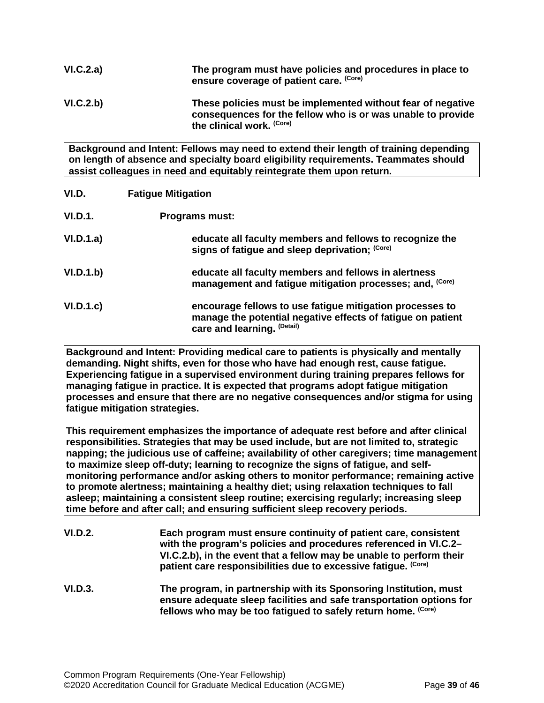| VI.C.2.a) | The program must have policies and procedures in place to<br>ensure coverage of patient care. (Core)                                                    |
|-----------|---------------------------------------------------------------------------------------------------------------------------------------------------------|
| VI.C.2.b) | These policies must be implemented without fear of negative<br>consequences for the fellow who is or was unable to provide<br>the clinical work. (Core) |

**Background and Intent: Fellows may need to extend their length of training depending on length of absence and specialty board eligibility requirements. Teammates should assist colleagues in need and equitably reintegrate them upon return.**

<span id="page-38-0"></span>

| VI.D.          | <b>Fatigue Mitigation</b>                                                                                                                              |
|----------------|--------------------------------------------------------------------------------------------------------------------------------------------------------|
| <b>VI.D.1.</b> | <b>Programs must:</b>                                                                                                                                  |
| VI.D.1.a)      | educate all faculty members and fellows to recognize the<br>signs of fatigue and sleep deprivation; (Core)                                             |
| VI.D.1.b)      | educate all faculty members and fellows in alertness<br>management and fatigue mitigation processes; and, (Core)                                       |
| VI.D.1.c       | encourage fellows to use fatigue mitigation processes to<br>manage the potential negative effects of fatigue on patient<br>care and learning. (Detail) |

**Background and Intent: Providing medical care to patients is physically and mentally demanding. Night shifts, even for those who have had enough rest, cause fatigue. Experiencing fatigue in a supervised environment during training prepares fellows for managing fatigue in practice. It is expected that programs adopt fatigue mitigation processes and ensure that there are no negative consequences and/or stigma for using fatigue mitigation strategies.**

**This requirement emphasizes the importance of adequate rest before and after clinical responsibilities. Strategies that may be used include, but are not limited to, strategic napping; the judicious use of caffeine; availability of other caregivers; time management to maximize sleep off-duty; learning to recognize the signs of fatigue, and selfmonitoring performance and/or asking others to monitor performance; remaining active to promote alertness; maintaining a healthy diet; using relaxation techniques to fall asleep; maintaining a consistent sleep routine; exercising regularly; increasing sleep time before and after call; and ensuring sufficient sleep recovery periods.**

| VI.D.2. | Each program must ensure continuity of patient care, consistent<br>with the program's policies and procedures referenced in VI.C.2-<br>VI.C.2.b), in the event that a fellow may be unable to perform their<br>patient care responsibilities due to excessive fatigue. (Core) |
|---------|-------------------------------------------------------------------------------------------------------------------------------------------------------------------------------------------------------------------------------------------------------------------------------|
| VI.D.3. | The program, in partnership with its Sponsoring Institution, must<br>ensure adequate sleep facilities and safe transportation options for<br>fellows who may be too fatigued to safely return home. (Core)                                                                    |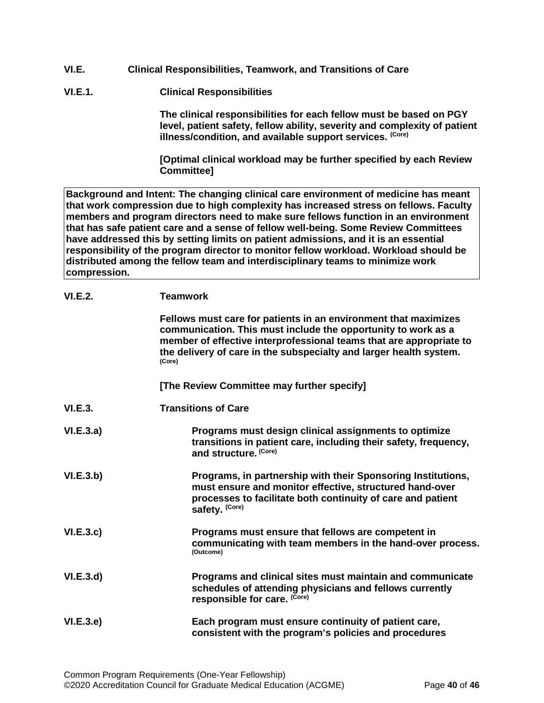- <span id="page-39-0"></span>**VI.E. Clinical Responsibilities, Teamwork, and Transitions of Care**
- **VI.E.1. Clinical Responsibilities**

**The clinical responsibilities for each fellow must be based on PGY level, patient safety, fellow ability, severity and complexity of patient illness/condition, and available support services. (Core)**

**[Optimal clinical workload may be further specified by each Review Committee]**

**Background and Intent: The changing clinical care environment of medicine has meant that work compression due to high complexity has increased stress on fellows. Faculty members and program directors need to make sure fellows function in an environment that has safe patient care and a sense of fellow well-being. Some Review Committees have addressed this by setting limits on patient admissions, and it is an essential responsibility of the program director to monitor fellow workload. Workload should be distributed among the fellow team and interdisciplinary teams to minimize work compression.**

| VI.E.2.   | <b>Teamwork</b>                                                                                                                                                                                                                                                                         |
|-----------|-----------------------------------------------------------------------------------------------------------------------------------------------------------------------------------------------------------------------------------------------------------------------------------------|
|           | Fellows must care for patients in an environment that maximizes<br>communication. This must include the opportunity to work as a<br>member of effective interprofessional teams that are appropriate to<br>the delivery of care in the subspecialty and larger health system.<br>(Core) |
|           | [The Review Committee may further specify]                                                                                                                                                                                                                                              |
| VI.E.3.   | <b>Transitions of Care</b>                                                                                                                                                                                                                                                              |
| VI.E.3.a) | Programs must design clinical assignments to optimize<br>transitions in patient care, including their safety, frequency,<br>and structure. (Core)                                                                                                                                       |
| VI.E.3.b) | Programs, in partnership with their Sponsoring Institutions,<br>must ensure and monitor effective, structured hand-over<br>processes to facilitate both continuity of care and patient<br>safety. (Core)                                                                                |
| VI.E.3.c  | Programs must ensure that fellows are competent in<br>communicating with team members in the hand-over process.<br>(Outcome)                                                                                                                                                            |
| VI.E.3.d  | Programs and clinical sites must maintain and communicate<br>schedules of attending physicians and fellows currently<br>responsible for care. (Core)                                                                                                                                    |
| VI.E.3.e  | Each program must ensure continuity of patient care,<br>consistent with the program's policies and procedures                                                                                                                                                                           |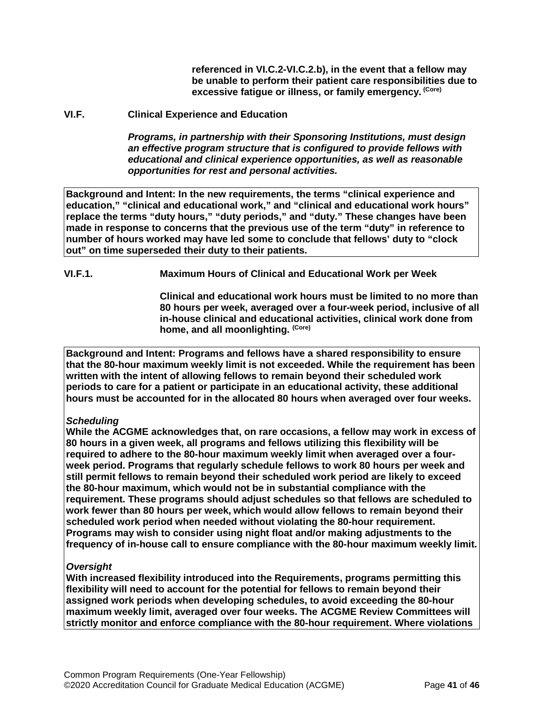**referenced in VI.C.2-VI.C.2.b), in the event that a fellow may be unable to perform their patient care responsibilities due to excessive fatigue or illness, or family emergency. (Core)**

#### <span id="page-40-0"></span>**VI.F. Clinical Experience and Education**

*Programs, in partnership with their Sponsoring Institutions, must design an effective program structure that is configured to provide fellows with educational and clinical experience opportunities, as well as reasonable opportunities for rest and personal activities.*

**Background and Intent: In the new requirements, the terms "clinical experience and education," "clinical and educational work," and "clinical and educational work hours" replace the terms "duty hours," "duty periods," and "duty." These changes have been made in response to concerns that the previous use of the term "duty" in reference to number of hours worked may have led some to conclude that fellows' duty to "clock out" on time superseded their duty to their patients.**

**VI.F.1. Maximum Hours of Clinical and Educational Work per Week**

**Clinical and educational work hours must be limited to no more than 80 hours per week, averaged over a four-week period, inclusive of all in-house clinical and educational activities, clinical work done from home, and all moonlighting. (Core)**

**Background and Intent: Programs and fellows have a shared responsibility to ensure that the 80-hour maximum weekly limit is not exceeded. While the requirement has been written with the intent of allowing fellows to remain beyond their scheduled work periods to care for a patient or participate in an educational activity, these additional hours must be accounted for in the allocated 80 hours when averaged over four weeks.**

## *Scheduling*

**While the ACGME acknowledges that, on rare occasions, a fellow may work in excess of 80 hours in a given week, all programs and fellows utilizing this flexibility will be required to adhere to the 80-hour maximum weekly limit when averaged over a fourweek period. Programs that regularly schedule fellows to work 80 hours per week and still permit fellows to remain beyond their scheduled work period are likely to exceed the 80-hour maximum, which would not be in substantial compliance with the requirement. These programs should adjust schedules so that fellows are scheduled to work fewer than 80 hours per week, which would allow fellows to remain beyond their scheduled work period when needed without violating the 80-hour requirement. Programs may wish to consider using night float and/or making adjustments to the frequency of in-house call to ensure compliance with the 80-hour maximum weekly limit.**

## *Oversight*

**With increased flexibility introduced into the Requirements, programs permitting this flexibility will need to account for the potential for fellows to remain beyond their assigned work periods when developing schedules, to avoid exceeding the 80-hour maximum weekly limit, averaged over four weeks. The ACGME Review Committees will strictly monitor and enforce compliance with the 80-hour requirement. Where violations**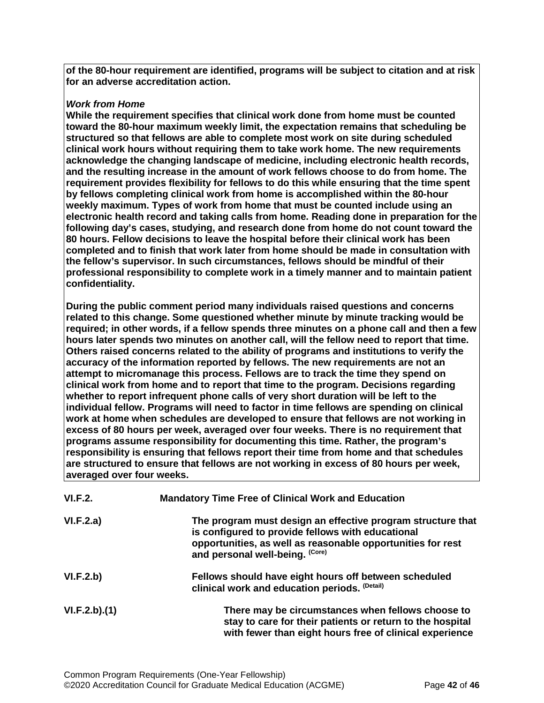**of the 80-hour requirement are identified, programs will be subject to citation and at risk for an adverse accreditation action.**

## *Work from Home*

**While the requirement specifies that clinical work done from home must be counted toward the 80-hour maximum weekly limit, the expectation remains that scheduling be structured so that fellows are able to complete most work on site during scheduled clinical work hours without requiring them to take work home. The new requirements acknowledge the changing landscape of medicine, including electronic health records, and the resulting increase in the amount of work fellows choose to do from home. The requirement provides flexibility for fellows to do this while ensuring that the time spent by fellows completing clinical work from home is accomplished within the 80-hour weekly maximum. Types of work from home that must be counted include using an electronic health record and taking calls from home. Reading done in preparation for the following day's cases, studying, and research done from home do not count toward the 80 hours. Fellow decisions to leave the hospital before their clinical work has been completed and to finish that work later from home should be made in consultation with the fellow's supervisor. In such circumstances, fellows should be mindful of their professional responsibility to complete work in a timely manner and to maintain patient confidentiality.**

**During the public comment period many individuals raised questions and concerns related to this change. Some questioned whether minute by minute tracking would be required; in other words, if a fellow spends three minutes on a phone call and then a few hours later spends two minutes on another call, will the fellow need to report that time. Others raised concerns related to the ability of programs and institutions to verify the accuracy of the information reported by fellows. The new requirements are not an attempt to micromanage this process. Fellows are to track the time they spend on clinical work from home and to report that time to the program. Decisions regarding whether to report infrequent phone calls of very short duration will be left to the individual fellow. Programs will need to factor in time fellows are spending on clinical work at home when schedules are developed to ensure that fellows are not working in excess of 80 hours per week, averaged over four weeks. There is no requirement that programs assume responsibility for documenting this time. Rather, the program's responsibility is ensuring that fellows report their time from home and that schedules are structured to ensure that fellows are not working in excess of 80 hours per week, averaged over four weeks.**

| VI.F.2.      | <b>Mandatory Time Free of Clinical Work and Education</b>                                                                                                                                                          |
|--------------|--------------------------------------------------------------------------------------------------------------------------------------------------------------------------------------------------------------------|
| VI.F.2.a)    | The program must design an effective program structure that<br>is configured to provide fellows with educational<br>opportunities, as well as reasonable opportunities for rest<br>and personal well-being. (Core) |
| VI.F.2.b)    | Fellows should have eight hours off between scheduled<br>clinical work and education periods. (Detail)                                                                                                             |
| VI.F.2.b)(1) | There may be circumstances when fellows choose to<br>stay to care for their patients or return to the hospital<br>with fewer than eight hours free of clinical experience                                          |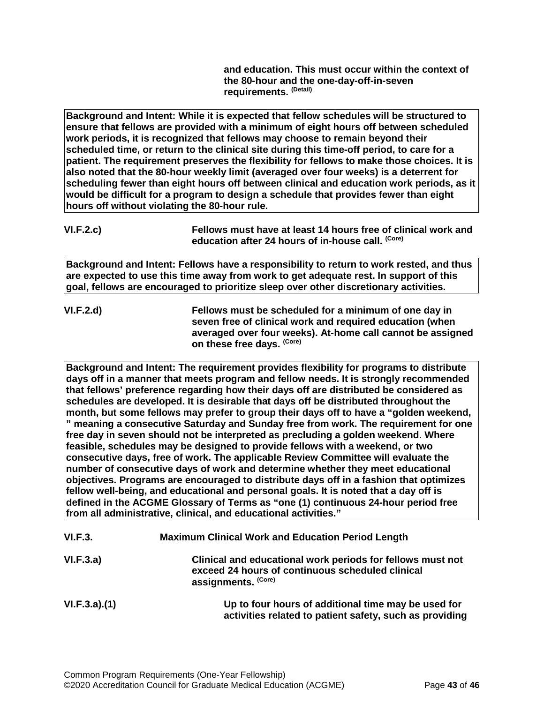**and education. This must occur within the context of the 80-hour and the one-day-off-in-seven requirements. (Detail)**

**Background and Intent: While it is expected that fellow schedules will be structured to ensure that fellows are provided with a minimum of eight hours off between scheduled work periods, it is recognized that fellows may choose to remain beyond their scheduled time, or return to the clinical site during this time-off period, to care for a patient. The requirement preserves the flexibility for fellows to make those choices. It is also noted that the 80-hour weekly limit (averaged over four weeks) is a deterrent for scheduling fewer than eight hours off between clinical and education work periods, as it would be difficult for a program to design a schedule that provides fewer than eight hours off without violating the 80-hour rule.**

**Background and Intent: Fellows have a responsibility to return to work rested, and thus are expected to use this time away from work to get adequate rest. In support of this goal, fellows are encouraged to prioritize sleep over other discretionary activities.**

**VI.F.2.d) Fellows must be scheduled for a minimum of one day in seven free of clinical work and required education (when averaged over four weeks). At-home call cannot be assigned on these free days. (Core)**

**Background and Intent: The requirement provides flexibility for programs to distribute days off in a manner that meets program and fellow needs. It is strongly recommended that fellows' preference regarding how their days off are distributed be considered as schedules are developed. It is desirable that days off be distributed throughout the month, but some fellows may prefer to group their days off to have a "golden weekend, " meaning a consecutive Saturday and Sunday free from work. The requirement for one free day in seven should not be interpreted as precluding a golden weekend. Where feasible, schedules may be designed to provide fellows with a weekend, or two consecutive days, free of work. The applicable Review Committee will evaluate the number of consecutive days of work and determine whether they meet educational objectives. Programs are encouraged to distribute days off in a fashion that optimizes fellow well-being, and educational and personal goals. It is noted that a day off is defined in the ACGME Glossary of Terms as "one (1) continuous 24-hour period free from all administrative, clinical, and educational activities."**

| <b>VI.F.3.</b> | <b>Maximum Clinical Work and Education Period Length</b>                                                                              |
|----------------|---------------------------------------------------------------------------------------------------------------------------------------|
| VI.F.3.a)      | Clinical and educational work periods for fellows must not<br>exceed 24 hours of continuous scheduled clinical<br>assignments. (Core) |
| VI.F.3.a)(1)   | Up to four hours of additional time may be used for<br>activities related to patient safety, such as providing                        |

**VI.F.2.c) Fellows must have at least 14 hours free of clinical work and education after 24 hours of in-house call. (Core)**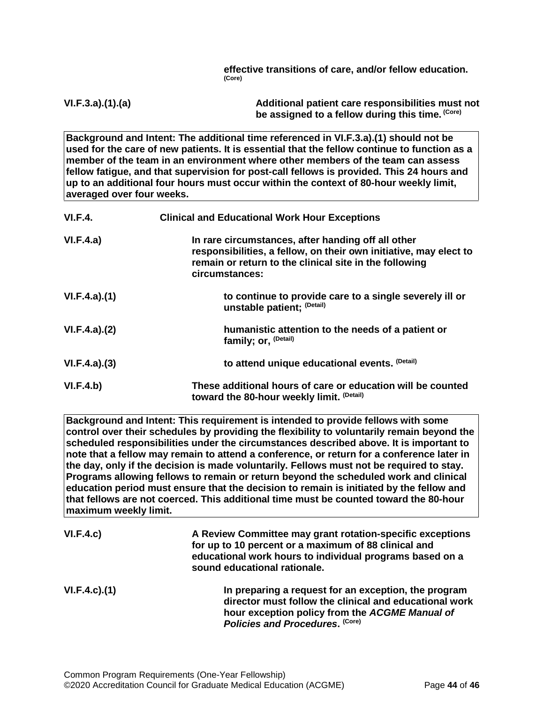**effective transitions of care, and/or fellow education. (Core)**

**VI.F.3.a).(1).(a) Additional patient care responsibilities must not be assigned to a fellow during this time. (Core)**

**Background and Intent: The additional time referenced in VI.F.3.a).(1) should not be used for the care of new patients. It is essential that the fellow continue to function as a member of the team in an environment where other members of the team can assess fellow fatigue, and that supervision for post-call fellows is provided. This 24 hours and up to an additional four hours must occur within the context of 80-hour weekly limit, averaged over four weeks.**

| <b>VI.F.4.</b> | <b>Clinical and Educational Work Hour Exceptions</b>                                                                                                                                                |
|----------------|-----------------------------------------------------------------------------------------------------------------------------------------------------------------------------------------------------|
| VI.F.4.a)      | In rare circumstances, after handing off all other<br>responsibilities, a fellow, on their own initiative, may elect to<br>remain or return to the clinical site in the following<br>circumstances: |
| VI.F.4.a)(1)   | to continue to provide care to a single severely ill or<br>unstable patient; (Detail)                                                                                                               |
| VI.F.4.a)(2)   | humanistic attention to the needs of a patient or<br>family; or, <sup>(Detail)</sup>                                                                                                                |
| VI.F.4.a)(3)   | to attend unique educational events. (Detail)                                                                                                                                                       |
| VI.F.4.b)      | These additional hours of care or education will be counted<br>toward the 80-hour weekly limit. (Detail)                                                                                            |

**Background and Intent: This requirement is intended to provide fellows with some control over their schedules by providing the flexibility to voluntarily remain beyond the scheduled responsibilities under the circumstances described above. It is important to note that a fellow may remain to attend a conference, or return for a conference later in the day, only if the decision is made voluntarily. Fellows must not be required to stay. Programs allowing fellows to remain or return beyond the scheduled work and clinical education period must ensure that the decision to remain is initiated by the fellow and that fellows are not coerced. This additional time must be counted toward the 80-hour maximum weekly limit.**

| VI.F.4.c)          | A Review Committee may grant rotation-specific exceptions<br>for up to 10 percent or a maximum of 88 clinical and<br>educational work hours to individual programs based on a<br>sound educational rationale. |
|--------------------|---------------------------------------------------------------------------------------------------------------------------------------------------------------------------------------------------------------|
| $VI.F.4.c$ . $(1)$ | In preparing a request for an exception, the program<br>director must follow the clinical and educational work<br>hour exception policy from the ACGME Manual of<br>Policies and Procedures. (Core)           |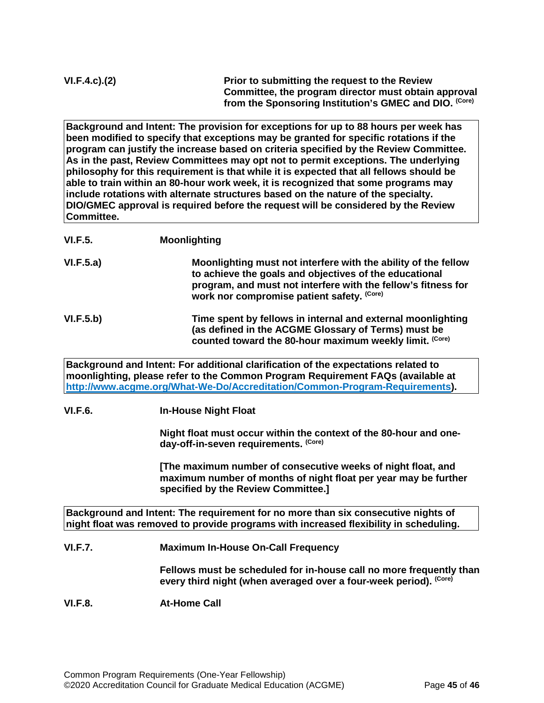**Background and Intent: The provision for exceptions for up to 88 hours per week has been modified to specify that exceptions may be granted for specific rotations if the program can justify the increase based on criteria specified by the Review Committee. As in the past, Review Committees may opt not to permit exceptions. The underlying philosophy for this requirement is that while it is expected that all fellows should be able to train within an 80-hour work week, it is recognized that some programs may include rotations with alternate structures based on the nature of the specialty. DIO/GMEC approval is required before the request will be considered by the Review Committee.**

## **VI.F.5. Moonlighting**

**VI.F.5.a) Moonlighting must not interfere with the ability of the fellow to achieve the goals and objectives of the educational program, and must not interfere with the fellow's fitness for work nor compromise patient safety. (Core)**

**VI.F.5.b) Time spent by fellows in internal and external moonlighting (as defined in the ACGME Glossary of Terms) must be**  counted toward the 80-hour maximum weekly limit. (Core)

**Background and Intent: For additional clarification of the expectations related to moonlighting, please refer to the Common Program Requirement FAQs (available at [http://www.acgme.org/What-We-Do/Accreditation/Common-Program-Requirements\)](http://www.acgme.org/What-We-Do/Accreditation/Common-Program-Requirements).**

**VI.F.6. In-House Night Float**

**Night float must occur within the context of the 80-hour and oneday-off-in-seven requirements. (Core)**

**[The maximum number of consecutive weeks of night float, and maximum number of months of night float per year may be further specified by the Review Committee.]**

**Background and Intent: The requirement for no more than six consecutive nights of night float was removed to provide programs with increased flexibility in scheduling.**

**VI.F.7. Maximum In-House On-Call Frequency**

**Fellows must be scheduled for in-house call no more frequently than**  every third night (when averaged over a four-week period). <sup>(Core)</sup>

## **VI.F.8. At-Home Call**